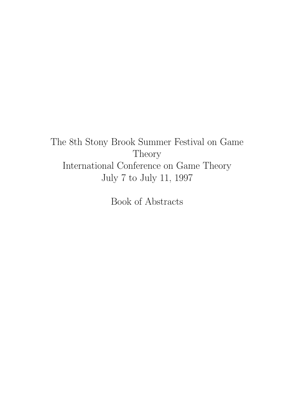# The 8th Stony Brook Summer Festival on Game Theory International Conference on Game Theory July 7 to July 11, 1997

Book of Abstracts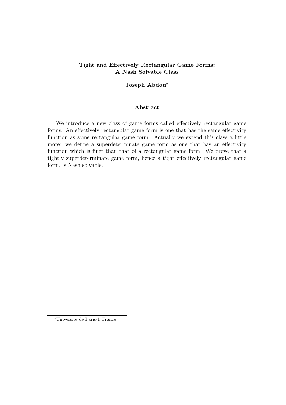# Tight and Effectively Rectangular Game Forms: A Nash Solvable Class

## Joseph Abdou<sup>∗</sup>

#### Abstract

We introduce a new class of game forms called effectively rectangular game forms. An effectively rectangular game form is one that has the same effectivity function as some rectangular game form. Actually we extend this class a little more: we define a superdeterminate game form as one that has an effectivity function which is finer than that of a rectangular game form. We prove that a tightly superdeterminate game form, hence a tight effectively rectangular game form, is Nash solvable.

<sup>∗</sup>Universit´e de Paris-I, France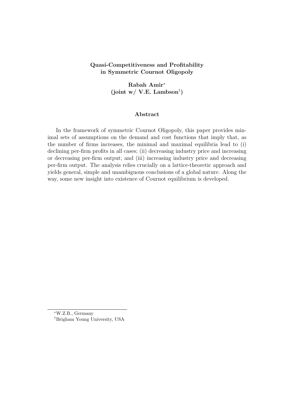# Quasi-Competitiveness and Profitability in Symmetric Cournot Oligopoly

Rabah Amir<sup>∗</sup>  $(joint w / V.E. Lambson<sup>†</sup>)$ 

#### Abstract

In the framework of symmetric Cournot Oligopoly, this paper provides minimal sets of assumptions on the demand and cost functions that imply that, as the number of firms increases, the minimal and maximal equilibria lead to (i) declining per-firm profits in all cases; (ii) decreasing industry price and increasing or decreasing per-firm output; and (iii) increasing industry price and decreasing per-firm output. The analysis relies crucially on a lattice-theoretic approach and yields general, simple and unambiguous conclusions of a global nature. Along the way, some new insight into existence of Cournot equilibrium is developed.

<sup>∗</sup>W.Z.B., Germany †Brigham Young University, USA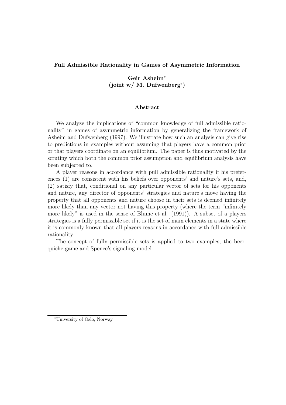## Full Admissible Rationality in Games of Asymmetric Information

# Geir Asheim<sup>∗</sup> (joint w/ M. Dufwenberg<sup>∗</sup> )

#### Abstract

We analyze the implications of "common knowledge of full admissible rationality" in games of asymmetric information by generalizing the framework of Asheim and Dufwenberg (1997). We illustrate how such an analysis can give rise to predictions in examples without assuming that players have a common prior or that players coordinate on an equilibrium. The paper is thus motivated by the scrutiny which both the common prior assumption and equilibrium analysis have been subjected to.

A player reasons in accordance with pull admissible rationality if his preferences (1) are consistent with his beliefs over opponents' and nature's sets, and, (2) satisfy that, conditional on any particular vector of sets for his opponents and nature, any director of opponents' strategies and nature's move having the property that all opponents and nature choose in their sets is deemed infinitely more likely than any vector not having this property (where the term "infinitely more likely" is used in the sense of Blume et al. (1991)). A subset of a players strategies is a fully permissible set if it is the set of main elements in a state where it is commonly known that all players reasons in accordance with full admissible rationality.

The concept of fully permissible sets is applied to two examples; the beerquiche game and Spence's signaling model.

<sup>∗</sup>University of Oslo, Norway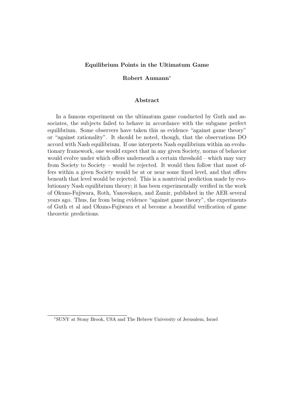#### Equilibrium Points in the Ultimatum Game

## Robert Aumann<sup>∗</sup>

#### Abstract

In a famous experiment on the ultimatum game conducted by Guth and associates, the subjects failed to behave in accordance with the subgame perfect equilibrium. Some observers have taken this as evidence "against game theory" or "against rationality". It should be noted, though, that the observations DO accord with Nash equilibrium. If one interprets Nash equilibrium within an evolutionary framework, one would expect that in any given Society, norms of behavior would evolve under which offers underneath a certain threshold – which may vary from Society to Society – would be rejected. It would then follow that most offers within a given Society would be at or near some fixed level, and that offers beneath that level would be rejected. This is a nontrivial prediction made by evolutionary Nash equilibrium theory; it has been experimentally verified in the work of Okuno-Fujiwara, Roth, Yanovskaya, and Zamir, published in the AER several years ago. Thus, far from being evidence "against game theory", the experiments of Guth et al and Okuno-Fujiwara et al become a beautiful verification of game theoretic predictions.

<sup>∗</sup>SUNY at Stony Brook, USA and The Hebrew University of Jerusalem, Israel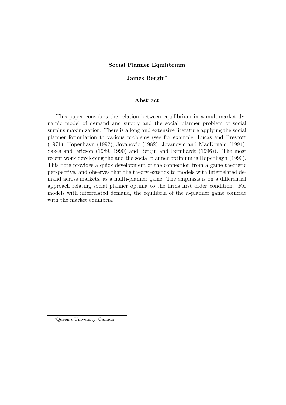#### Social Planner Equilibrium

## James Bergin<sup>∗</sup>

#### Abstract

This paper considers the relation between equilibrium in a multimarket dynamic model of demand and supply and the social planner problem of social surplus maximization. There is a long and extensive literature applying the social planner formulation to various problems (see for example, Lucas and Prescott (1971), Hopenhayn (1992), Jovanovic (1982), Jovanovic and MacDonald (1994), Sakes and Ericson (1989, 1990) and Bergin and Bernhardt (1996)). The most recent work developing the and the social planner optimum is Hopenhayn (1990). This note provides a quick development of the connection from a game theoretic perspective, and observes that the theory extends to models with interrelated demand across markets, as a multi-planner game. The emphasis is on a differential approach relating social planner optima to the firms first order condition. For models with interrelated demand, the equilibria of the n-planner game coincide with the market equilibria.

<sup>∗</sup>Queen's University, Canada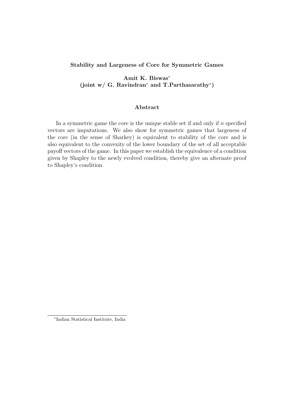## Stability and Largeness of Core for Symmetric Games

Amit K. Biswas<sup>∗</sup> (joint w/ G. Ravindran<sup>∗</sup> and T.Parthasarathy<sup>∗</sup> )

## Abstract

In a symmetric game the core is the unique stable set if and only if  $n$  specified vectors are imputations. We also show for symmetric games that largeness of the core (in the sense of Sharkey) is equivalent to stability of the core and is also equivalent to the convexity of the lower boundary of the set of all acceptable payoff vectors of the game. In this paper we establish the equivalence of a condition given by Shapley to the newly evolved condition, thereby give an alternate proof to Shapley's condition.

<sup>∗</sup> Indian Statistical Institute, India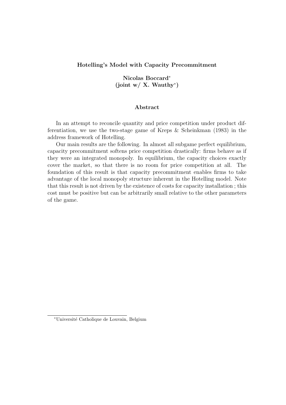#### Hotelling's Model with Capacity Precommitment

Nicolas Boccard<sup>∗</sup> (joint w/ X. Wauthy\*)

#### Abstract

In an attempt to reconcile quantity and price competition under product differentiation, we use the two-stage game of Kreps & Scheinkman (1983) in the address framework of Hotelling.

Our main results are the following. In almost all subgame perfect equilibrium, capacity precommitment softens price competition drastically: firms behave as if they were an integrated monopoly. In equilibrium, the capacity choices exactly cover the market, so that there is no room for price competition at all. The foundation of this result is that capacity precommitment enables firms to take advantage of the local monopoly structure inherent in the Hotelling model. Note that this result is not driven by the existence of costs for capacity installation ; this cost must be positive but can be arbitrarily small relative to the other parameters of the game.

<sup>∗</sup>Universit´e Catholique de Louvain, Belgium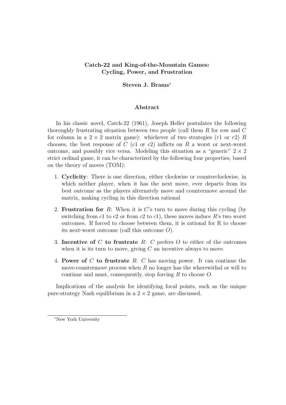# Catch-22 and King-of-the-Mountain Games: Cycling, Power, and Frustration

## Steven J. Brams<sup>∗</sup>

#### Abstract

In his classic novel, Catch-22 (1961), Joseph Heller postulates the following thoroughly frustrating situation between two people (call them  $R$  for row and  $C$ for column in a  $2 \times 2$  matrix game): whichever of two strategies (r1 or r2) R chooses, the best response of  $C$  (c1 or c2) inflicts on  $R$  a worst or next-worst outcome, and possibly vice versa. Modeling this situation as a "generic"  $2 \times 2$ strict ordinal game, it can be characterized by the following four properties, based on the theory of moves (TOM):

- 1. Cyclicity: There is one direction, either clockwise or counterclockwise, in which neither player, when it has the next move, ever departs from its best outcome as the players alternately move and countermove around the matrix, making cycling in this direction rational
- 2. **Frustration for** R: When it is  $C$ 's turn to move during this cycling (by switching from c1 to c2 or from c2 to c1), these moves induce R's two worst outcomes. If forced to choose between them, it is rational for R to choose its next-worst outcome (call this outcome  $O$ ).
- 3. Incentive of  $C$  to frustrate  $R: C$  prefers  $O$  to either of the outcomes when it is its turn to move, giving  $C$  an incentive always to move.
- 4. Power of C to frustrate  $R: C$  has moving power. It can continue the move-countermove process when  $R$  no longer has the wherewithal or will to continue and must, consequently, stop forcing  $R$  to choose  $O$ .

Implications of the analysis for identifying focal points, such as the unique pure-strategy Nash equilibrium in a  $2 \times 2$  game, are discussed.

<sup>∗</sup>New York University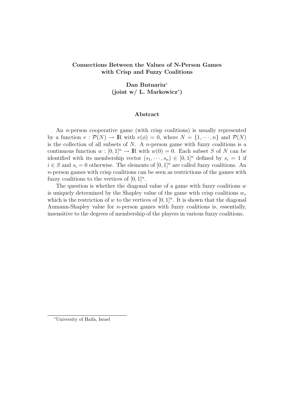# Connections Between the Values of N-Person Games with Crisp and Fuzzy Coalitions

# Dan Butnariu<sup>∗</sup> (joint w/ L. Markowicz<sup>∗</sup> )

#### Abstract

An *n*-person cooperative game (with crisp coalitions) is usually represented by a function  $v : \mathcal{P}(N) \to \mathbb{R}$  with  $v(\phi) = 0$ , where  $N = \{1, \dots, n\}$  and  $\mathcal{P}(N)$ is the collection of all subsets of  $N$ . A *n*-person game with fuzzy coalitions is a continuous function  $w : [0, 1]^n \to \mathbb{R}$  with  $w(0) = 0$ . Each subset S of N can be identified with its membership vector  $(s_1, \dots, s_n) \in [0,1]^n$  defined by  $s_i = 1$  if  $i \in S$  and  $s_i = 0$  otherwise. The elements of  $[0, 1]^n$  are called fuzzy coalitions. An n-person games with crisp coalitions can be seen as restrictions of the games with fuzzy coalitions to the vertices of  $[0,1]^n$ .

The question is whether the diagonal value of a game with fuzzy coalitions  $w$ is uniquely determined by the Shapley value of the game with crisp coalitions  $w_*$ which is the restriction of w to the vertices of  $[0,1]^n$ . It is shown that the diagonal Aumann-Shapley value for n-person games with fuzzy coalitions is, essentially, insensitive to the degrees of membership of the players in various fuzzy coalitions.

<sup>∗</sup>University of Haifa, Israel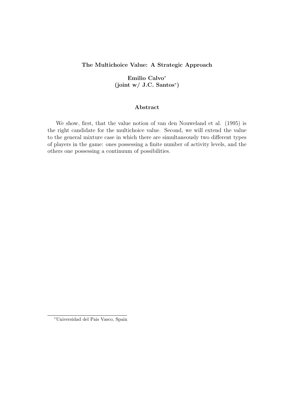# The Multichoice Value: A Strategic Approach

Emilio Calvo<sup>∗</sup>  $(joint w / J.C. Santos^*)$ 

#### Abstract

We show, first, that the value notion of van den Nouweland et al. (1995) is the right candidate for the multichoice value. Second, we will extend the value to the general mixture case in which there are simultaneously two different types of players in the game: ones possessing a finite number of activity levels, and the others one possessing a continuum of possibilities.

<sup>∗</sup>Universidad del Pais Vasco, Spain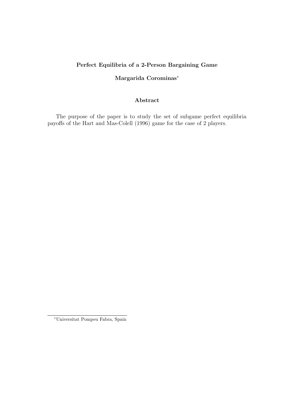# Perfect Equilibria of a 2-Person Bargaining Game

# Margarida Corominas<sup>∗</sup>

# Abstract

The purpose of the paper is to study the set of subgame perfect equilibria payoffs of the Hart and Mas-Colell (1996) game for the case of 2 players.

<sup>∗</sup>Universitat Pompeu Fabra, Spain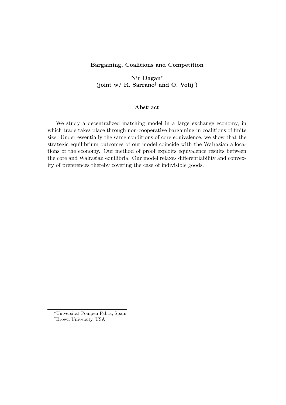## Bargaining, Coalitions and Competition

Nir Dagan<sup>∗</sup> (joint w/ R. Sarrano<sup>†</sup> and O. Volij<sup>†</sup>)

#### Abstract

We study a decentralized matching model in a large exchange economy, in which trade takes place through non-cooperative bargaining in coalitions of finite size. Under essentially the same conditions of core equivalence, we show that the strategic equilibrium outcomes of our model coincide with the Walrasian allocations of the economy. Our method of proof exploits equivalence results between the core and Walrasian equilibria. Our model relaxes differentiability and convexity of preferences thereby covering the case of indivisible goods.

<sup>∗</sup>Universitat Pompeu Fabra, Spain †Brown University, USA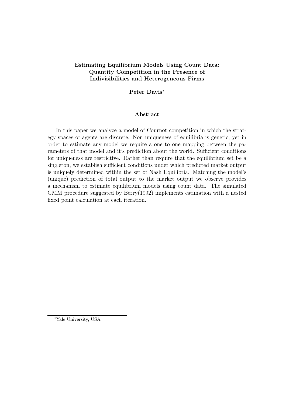# Estimating Equilibrium Models Using Count Data: Quantity Competition in the Presence of Indivisibilities and Heterogeneous Firms

# Peter Davis<sup>∗</sup>

#### Abstract

In this paper we analyze a model of Cournot competition in which the strategy spaces of agents are discrete. Non uniqueness of equilibria is generic, yet in order to estimate any model we require a one to one mapping between the parameters of that model and it's prediction about the world. Sufficient conditions for uniqueness are restrictive. Rather than require that the equilibrium set be a singleton, we establish sufficient conditions under which predicted market output is uniquely determined within the set of Nash Equilibria. Matching the model's (unique) prediction of total output to the market output we observe provides a mechanism to estimate equilibrium models using count data. The simulated GMM procedure suggested by Berry(1992) implements estimation with a nested fixed point calculation at each iteration.

<sup>∗</sup>Yale University, USA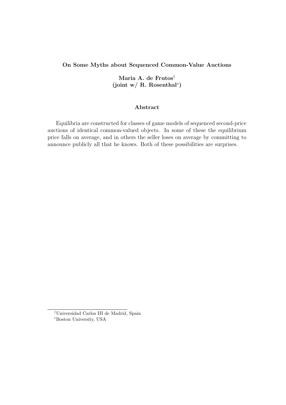## On Some Myths about Sequenced Common-Value Auctions

# Maria A. de Frutos†  $(joint w / R. Rosenthal*)$

#### Abstract

Equilibria are constructed for classes of game models of sequenced second-price auctions of identical common-valued objects. In some of these the equilibrium price falls on average, and in others the seller loses on average by committing to announce publicly all that he knows. Both of these possibilities are surprises.

<sup>†</sup>Universidad Carlos III de Madrid, Spain <sup>∗</sup>Boston University, USA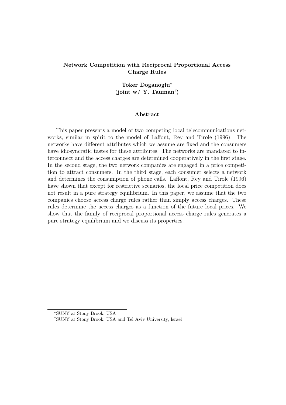# Network Competition with Reciprocal Proportional Access Charge Rules

# Toker Doganoglu<sup>∗</sup> (joint w/ Y. Tauman† )

#### Abstract

This paper presents a model of two competing local telecommunications networks, similar in spirit to the model of Laffont, Rey and Tirole (1996). The networks have different attributes which we assume are fixed and the consumers have idiosyncratic tastes for these attributes. The networks are mandated to interconnect and the access charges are determined cooperatively in the first stage. In the second stage, the two network companies are engaged in a price competition to attract consumers. In the third stage, each consumer selects a network and determines the consumption of phone calls. Laffont, Rey and Tirole (1996) have shown that except for restrictive scenarios, the local price competition does not result in a pure strategy equilibrium. In this paper, we assume that the two companies choose access charge rules rather than simply access charges. These rules determine the access charges as a function of the future local prices. We show that the family of reciprocal proportional access charge rules generates a pure strategy equilibrium and we discuss its properties.

<sup>∗</sup>SUNY at Stony Brook, USA

<sup>†</sup>SUNY at Stony Brook, USA and Tel Aviv University, Israel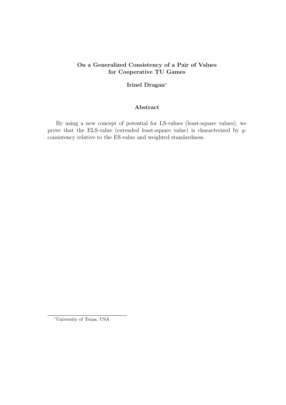# On a Generalized Consistency of a Pair of Values for Cooperative TU Games

# Irinel Dragan<sup>∗</sup>

## Abstract

By using a new concept of potential for LS-values (least-square values), we prove that the ELS-value (extended least-square value) is characterized by gconsistency relative to the ES-value and weighted standardness.

<sup>∗</sup>University of Texas, USA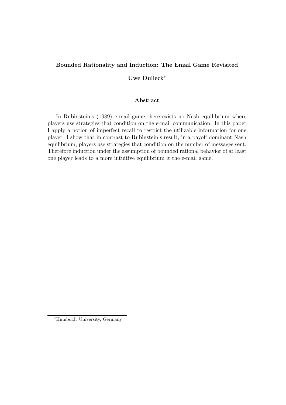# Bounded Rationality and Induction: The Email Game Revisited

# Uwe Dulleck<sup>∗</sup>

#### Abstract

In Rubinstein's (1989) e-mail game there exists no Nash equilibrium where players use strategies that condition on the e-mail communication. In this paper I apply a notion of imperfect recall to restrict the utilizable information for one player. I show that in contrast to Rubinstein's result, in a payoff dominant Nash equilibrium, players use strategies that condition on the number of messages sent. Therefore induction under the assumption of bounded rational behavior of at least one player leads to a more intuitive equilibrium it the e-mail game.

<sup>∗</sup>Humboldt University, Germany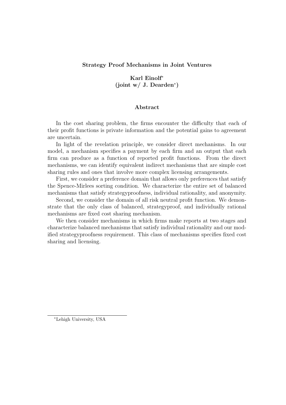## Strategy Proof Mechanisms in Joint Ventures

# Karl Einolf<sup>∗</sup> (joint w/ J. Dearden<sup>∗</sup> )

## Abstract

In the cost sharing problem, the firms encounter the difficulty that each of their profit functions is private information and the potential gains to agreement are uncertain.

In light of the revelation principle, we consider direct mechanisms. In our model, a mechanism specifies a payment by each firm and an output that each firm can produce as a function of reported profit functions. From the direct mechanisms, we can identify equivalent indirect mechanisms that are simple cost sharing rules and ones that involve more complex licensing arrangements.

First, we consider a preference domain that allows only preferences that satisfy the Spence-Mirlees sorting condition. We characterize the entire set of balanced mechanisms that satisfy strategyproofness, individual rationality, and anonymity.

Second, we consider the domain of all risk neutral profit function. We demonstrate that the only class of balanced, strategyproof, and individually rational mechanisms are fixed cost sharing mechanism.

We then consider mechanisms in which firms make reports at two stages and characterize balanced mechanisms that satisfy individual rationality and our modified strategyproofness requirement. This class of mechanisms specifies fixed cost sharing and licensing.

<sup>∗</sup>Lehigh University, USA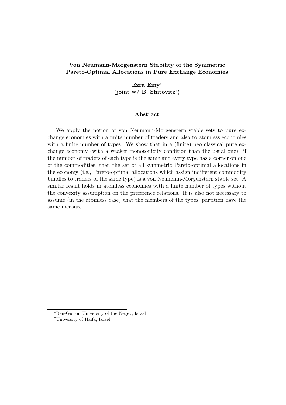# Von Neumann-Morgenstern Stability of the Symmetric Pareto-Optimal Allocations in Pure Exchange Economies

Ezra Einy<sup>∗</sup> (joint w/ B. Shitovitz<sup>†</sup>)

#### Abstract

We apply the notion of von Neumann-Morgenstern stable sets to pure exchange economies with a finite number of traders and also to atomless economies with a finite number of types. We show that in a (finite) neo classical pure exchange economy (with a weaker monotonicity condition than the usual one): if the number of traders of each type is the same and every type has a corner on one of the commodities, then the set of all symmetric Pareto-optimal allocations in the economy (i.e., Pareto-optimal allocations which assign indifferent commodity bundles to traders of the same type) is a von Neumann-Morgenstern stable set. A similar result holds in atomless economies with a finite number of types without the convexity assumption on the preference relations. It is also not necessary to assume (in the atomless case) that the members of the types' partition have the same measure.

<sup>∗</sup>Ben-Gurion University of the Negev, Israel

<sup>†</sup>University of Haifa, Israel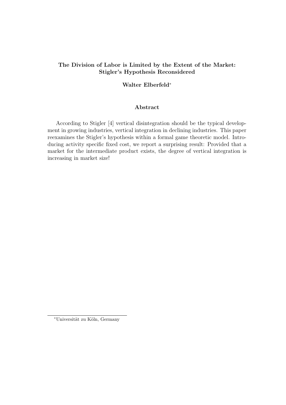# The Division of Labor is Limited by the Extent of the Market: Stigler's Hypothesis Reconsidered

## Walter Elberfeld<sup>∗</sup>

## Abstract

According to Stigler [4] vertical disintegration should be the typical development in growing industries, vertical integration in declining industries. This paper reexamines the Stigler's hypothesis within a formal game theoretic model. Introducing activity specific fixed cost, we report a surprising result: Provided that a market for the intermediate product exists, the degree of vertical integration is increasing in market size!

<sup>∗</sup>Universit¨at zu K¨oln, Germany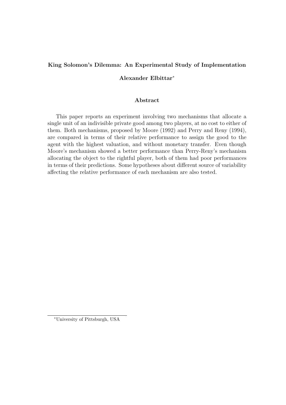# King Solomon's Dilemma: An Experimental Study of Implementation

# Alexander Elbittar<sup>∗</sup>

#### Abstract

This paper reports an experiment involving two mechanisms that allocate a single unit of an indivisible private good among two players, at no cost to either of them. Both mechanisms, proposed by Moore (1992) and Perry and Reny (1994), are compared in terms of their relative performance to assign the good to the agent with the highest valuation, and without monetary transfer. Even though Moore's mechanism showed a better performance than Perry-Reny's mechanism allocating the object to the rightful player, both of them had poor performances in terms of their predictions. Some hypotheses about different source of variability affecting the relative performance of each mechanism are also tested.

<sup>∗</sup>University of Pittsburgh, USA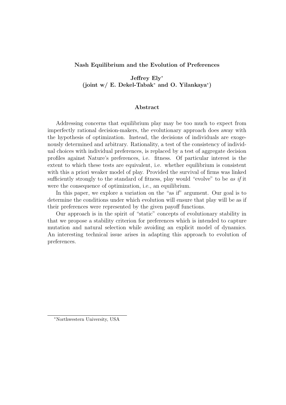## Nash Equilibrium and the Evolution of Preferences

Jeffrey Ely<sup>∗</sup> (joint w/ E. Dekel-Tabak<sup>∗</sup> and O. Yilankaya<sup>∗</sup> )

## Abstract

Addressing concerns that equilibrium play may be too much to expect from imperfectly rational decision-makers, the evolutionary approach does away with the hypothesis of optimization. Instead, the decisions of individuals are exogenously determined and arbitrary. Rationality, a test of the consistency of individual choices with individual preferences, is replaced by a test of aggregate decision profiles against Nature's preferences, i.e. fitness. Of particular interest is the extent to which these tests are equivalent, i.e. whether equilibrium is consistent with this a priori weaker model of play. Provided the survival of firms was linked sufficiently strongly to the standard of fitness, play would "evolve" to be as if it were the consequence of optimization, i.e., an equilibrium.

In this paper, we explore a variation on the "as if" argument. Our goal is to determine the conditions under which evolution will ensure that play will be as if their preferences were represented by the given payoff functions.

Our approach is in the spirit of "static" concepts of evolutionary stability in that we propose a stability criterion for preferences which is intended to capture mutation and natural selection while avoiding an explicit model of dynamics. An interesting technical issue arises in adapting this approach to evolution of preferences.

<sup>∗</sup>Northwestern University, USA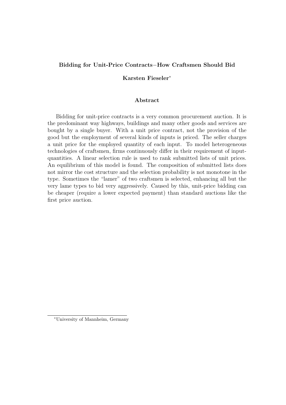# Bidding for Unit-Price Contracts−How Craftsmen Should Bid

# Karsten Fieseler<sup>∗</sup>

#### Abstract

Bidding for unit-price contracts is a very common procurement auction. It is the predominant way highways, buildings and many other goods and services are bought by a single buyer. With a unit price contract, not the provision of the good but the employment of several kinds of inputs is priced. The seller charges a unit price for the employed quantity of each input. To model heterogeneous technologies of craftsmen, firms continuously differ in their requirement of inputquantities. A linear selection rule is used to rank submitted lists of unit prices. An equilibrium of this model is found. The composition of submitted lists does not mirror the cost structure and the selection probability is not monotone in the type. Sometimes the "lamer" of two craftsmen is selected, enhancing all but the very lame types to bid very aggressively. Caused by this, unit-price bidding can be cheaper (require a lower expected payment) than standard auctions like the first price auction.

<sup>∗</sup>University of Mannheim, Germany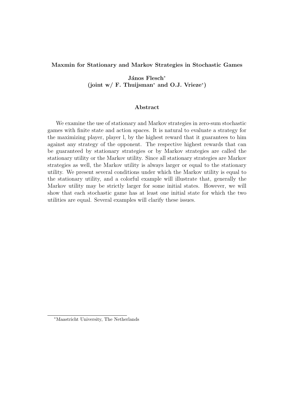## Maxmin for Stationary and Markov Strategies in Stochastic Games

János Flesch<sup>∗</sup> (joint w/ F. Thuijsman<sup>∗</sup> and O.J. Vrieze<sup>∗</sup> )

#### Abstract

We examine the use of stationary and Markov strategies in zero-sum stochastic games with finite state and action spaces. It is natural to evaluate a strategy for the maximizing player, player l, by the highest reward that it guarantees to him against any strategy of the opponent. The respective highest rewards that can be guaranteed by stationary strategies or by Markov strategies are called the stationary utility or the Markov utility. Since all stationary strategies are Markov strategies as well, the Markov utility is always larger or equal to the stationary utility. We present several conditions under which the Markov utility is equal to the stationary utility, and a colorful example will illustrate that, generally the Markov utility may be strictly larger for some initial states. However, we will show that each stochastic game has at least one initial state for which the two utilities are equal. Several examples will clarify these issues.

<sup>∗</sup>Maastricht University, The Netherlands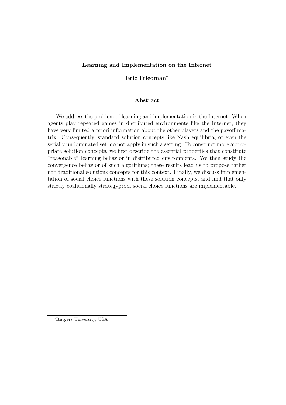## Learning and Implementation on the Internet

## Eric Friedman<sup>∗</sup>

#### Abstract

We address the problem of learning and implementation in the Internet. When agents play repeated games in distributed environments like the Internet, they have very limited a priori information about the other players and the payoff matrix. Consequently, standard solution concepts like Nash equilibria, or even the serially undominated set, do not apply in such a setting. To construct more appropriate solution concepts, we first describe the essential properties that constitute "reasonable" learning behavior in distributed environments. We then study the convergence behavior of such algorithms; these results lead us to propose rather non traditional solutions concepts for this context. Finally, we discuss implementation of social choice functions with these solution concepts, and find that only strictly coalitionally strategyproof social choice functions are implementable.

<sup>∗</sup>Rutgers University, USA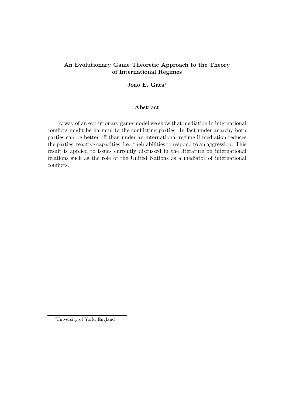# An Evolutionary Game Theoretic Approach to the Theory of International Regimes

## Joao E. Gata<sup>∗</sup>

## Abstract

By way of an evolutionary game model we show that mediation in international conflicts might be harmful to the conflicting parties. In fact under anarchy both parties can be better off than under an international regime if mediation reduces the parties' reactive capacities, i.e., their abilities to respond to an aggression. This result is applied to issues currently discussed in the literature on international relations such as the role of the United Nations as a mediator of international conflicts.

<sup>∗</sup>University of York, England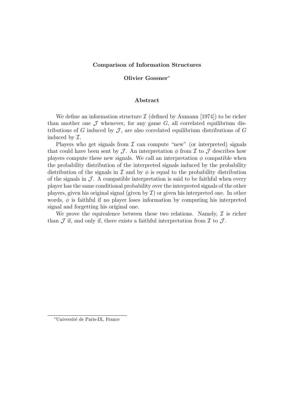#### Comparison of Information Structures

#### Olivier Gossner<sup>∗</sup>

#### Abstract

We define an information structure  $\mathcal I$  (defined by Aumann [1974]) to be richer than another one  $\mathcal J$  whenever, for any game  $G$ , all correlated equilibrium distributions of G induced by  $\mathcal{J}$ , are also correlated equilibrium distributions of G induced by I.

Players who get signals from  $\mathcal I$  can compute "new" (or interpreted) signals that could have been sent by  $\mathcal J$ . An interpretation  $\phi$  from  $\mathcal I$  to  $\mathcal J$  describes how players compute these new signals. We call an interpretation  $\phi$  compatible when the probability distribution of the interpreted signals induced by the probability distribution of the signals in  $\mathcal I$  and by  $\phi$  is equal to the probability distribution of the signals in  $\mathcal{J}$ . A compatible interpretation is said to be faithful when every player has the same conditional probability over the interpreted signals of the other players, given his original signal (given by  $\mathcal I$ ) or given his interpreted one. In other words,  $\phi$  is faithful if no player loses information by computing his interpreted signal and forgetting his original one.

We prove the equivalence between these two relations. Namely,  $\mathcal I$  is richer than  $\mathcal J$  if, and only if, there exists a faithful interpretation from  $\mathcal I$  to  $\mathcal J$ .

<sup>∗</sup>Universit´e de Paris-IX, France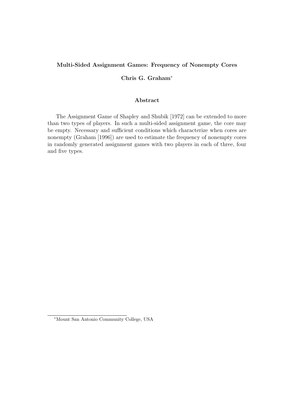## Multi-Sided Assignment Games: Frequency of Nonempty Cores

# Chris G. Graham<sup>∗</sup>

## Abstract

The Assignment Game of Shapley and Shubik [1972] can be extended to more than two types of players. In such a multi-sided assignment game, the core may be empty. Necessary and sufficient conditions which characterize when cores are nonempty (Graham [1996]) are used to estimate the frequency of nonempty cores in randomly generated assignment games with two players in each of three, four and five types.

<sup>∗</sup>Mount San Antonio Community College, USA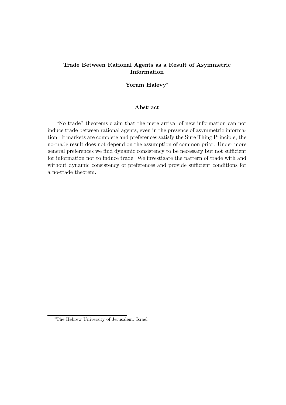# Trade Between Rational Agents as a Result of Asymmetric Information

# Yoram Halevy<sup>∗</sup>

## Abstract

"No trade" theorems claim that the mere arrival of new information can not induce trade between rational agents, even in the presence of asymmetric information. If markets are complete and preferences satisfy the Sure Thing Principle, the no-trade result does not depend on the assumption of common prior. Under more general preferences we find dynamic consistency to be necessary but not sufficient for information not to induce trade. We investigate the pattern of trade with and without dynamic consistency of preferences and provide sufficient conditions for a no-trade theorem.

<sup>∗</sup>The Hebrew University of Jerusalem. Israel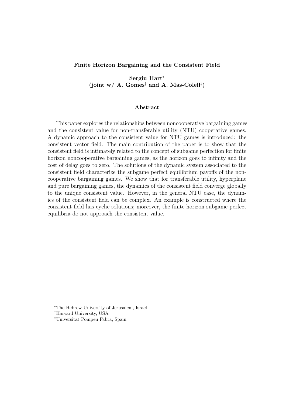#### Finite Horizon Bargaining and the Consistent Field

Sergiu Hart<sup>∗</sup> (joint w/ A. Gomes<sup>†</sup> and A. Mas-Colell<sup>‡</sup>)

#### Abstract

This paper explores the relationships between noncooperative bargaining games and the consistent value for non-transferable utility (NTU) cooperative games. A dynamic approach to the consistent value for NTU games is introduced: the consistent vector field. The main contribution of the paper is to show that the consistent field is intimately related to the concept of subgame perfection for finite horizon noncooperative bargaining games, as the horizon goes to infinity and the cost of delay goes to zero. The solutions of the dynamic system associated to the consistent field characterize the subgame perfect equilibrium payoffs of the noncooperative bargaining games. We show that for transferable utility, hyperplane and pure bargaining games, the dynamics of the consistent field converge globally to the unique consistent value. However, in the general NTU case, the dynamics of the consistent field can be complex. An example is constructed where the consistent field has cyclic solutions; moreover, the finite horizon subgame perfect equilibria do not approach the consistent value.

<sup>∗</sup>The Hebrew University of Jerusalem, Israel

<sup>†</sup>Harvard University, USA

<sup>‡</sup>Universitat Pompeu Fabra, Spain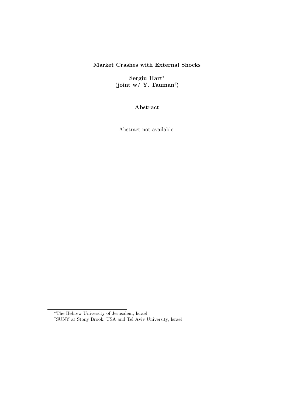# Market Crashes with External Shocks

Sergiu Hart<sup>∗</sup> (joint w/ Y. Tauman† )

Abstract

Abstract not available.

<sup>∗</sup>The Hebrew University of Jerusalem, Israel

<sup>†</sup>SUNY at Stony Brook, USA and Tel Aviv University, Israel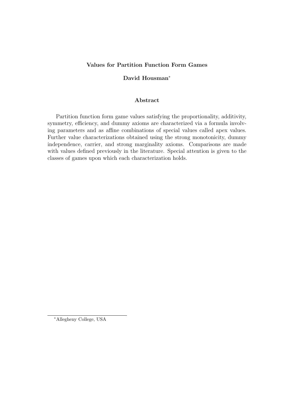# Values for Partition Function Form Games

# David Housman<sup>∗</sup>

#### Abstract

Partition function form game values satisfying the proportionality, additivity, symmetry, efficiency, and dummy axioms are characterized via a formula involving parameters and as affine combinations of special values called apex values. Further value characterizations obtained using the strong monotonicity, dummy independence, carrier, and strong marginality axioms. Comparisons are made with values defined previously in the literature. Special attention is given to the classes of games upon which each characterization holds.

<sup>∗</sup>Allegheny College, USA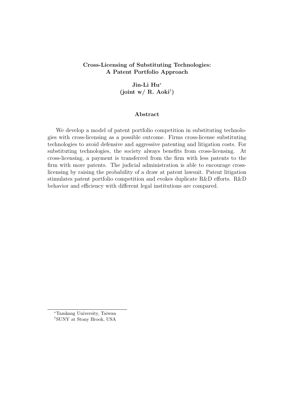# Cross-Licensing of Substituting Technologies: A Patent Portfolio Approach

# Jin-Li Hu<sup>∗</sup> (joint w/ R. Aoki<sup>†</sup>)

## Abstract

We develop a model of patent portfolio competition in substituting technologies with cross-licensing as a possible outcome. Firms cross-license substituting technologies to avoid defensive and aggressive patenting and litigation costs. For substituting technologies, the society always benefits from cross-licensing. At cross-licensing, a payment is transferred from the firm with less patents to the firm with more patents. The judicial administration is able to encourage crosslicensing by raising the probability of a draw at patent lawsuit. Patent litigation stimulates patent portfolio competition and evokes duplicate R&D efforts. R&D behavior and efficiency with different legal institutions are compared.

<sup>∗</sup>Tamkang University, Taiwan †SUNY at Stony Brook, USA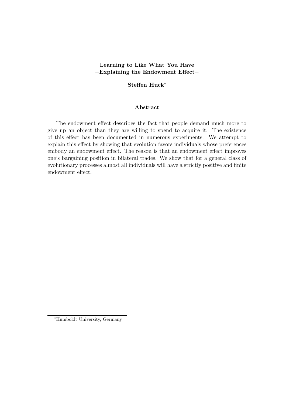# Learning to Like What You Have −Explaining the Endowment Effect−

## Steffen Huck<sup>∗</sup>

## Abstract

The endowment effect describes the fact that people demand much more to give up an object than they are willing to spend to acquire it. The existence of this effect has been documented in numerous experiments. We attempt to explain this effect by showing that evolution favors individuals whose preferences embody an endowment effect. The reason is that an endowment effect improves one's bargaining position in bilateral trades. We show that for a general class of evolutionary processes almost all individuals will have a strictly positive and finite endowment effect.

<sup>∗</sup>Humboldt University, Germany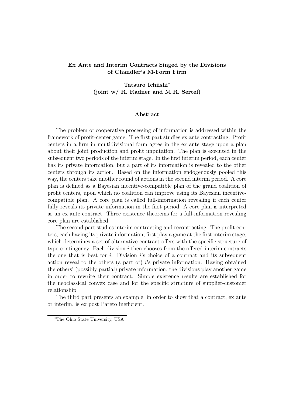# Ex Ante and Interim Contracts Singed by the Divisions of Chandler's M-Form Firm

Tatsuro Ichiishi<sup>∗</sup> (joint w/ R. Radner and M.R. Sertel)

#### Abstract

The problem of cooperative processing of information is addressed within the framework of profit-center game. The first part studies ex ante contracting: Profit centers in a firm in multidivisional form agree in the ex ante stage upon a plan about their joint production and profit imputation. The plan is executed in the subsequent two periods of the interim stage. In the first interim period, each center has its private information, but a part of its information is revealed to the other centers through its action. Based on the information endogenously pooled this way, the centers take another round of actions in the second interim period. A core plan is defined as a Bayesian incentive-compatible plan of the grand coalition of profit centers, upon which no coalition can improve using its Bayesian incentivecompatible plan. A core plan is called full-information revealing if each center fully reveals its private information in the first period. A core plan is interpreted as an ex ante contract. Three existence theorems for a full-information revealing core plan are established.

The second part studies interim contracting and recontracting: The profit centers, each having its private information, first play a game at the first interim stage, which determines a set of alternative contract-offers with the specific structure of type-contingency. Each division  $i$  then chooses from the offered interim contracts the one that is best for i. Division i's choice of a contract and its subsequent action reveal to the others (a part of) i's private information. Having obtained the others' (possibly partial) private information, the divisions play another game in order to rewrite their contract. Simple existence results are established for the neoclassical convex case and for the specific structure of supplier-customer relationship.

The third part presents an example, in order to show that a contract, ex ante or interim, is ex post Pareto inefficient.

<sup>∗</sup>The Ohio State University, USA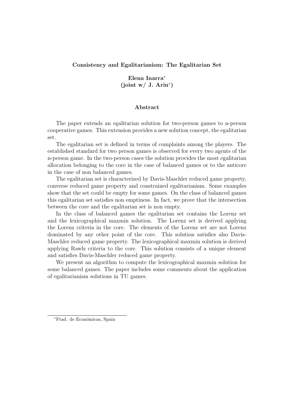## Consistency and Egalitarianism: The Egalitarian Set

# Elena Inarra<sup>∗</sup> (joint w/ J. Arin<sup>∗</sup> )

### Abstract

The paper extends an egalitarian solution for two-person games to n-person cooperative games. This extension provides a new solution concept, the egalitarian set.

The egalitarian set is defined in terms of complaints among the players. The established standard for two person games is observed for every two agents of the n-person game. In the two-person cases the solution provides the most egalitarian allocation belonging to the core in the case of balanced games or to the anticore in the case of non balanced games.

The egalitarian set is characterized by Davis-Maschler reduced game property, converse reduced game property and constrained egalitarianism. Some examples show that the set could be empty for some games. On the class of balanced games this egalitarian set satisfies non emptiness. In fact, we prove that the intersection between the core and the egalitarian set is non empty.

In the class of balanced games the egalitarian set contains the Lorenz set and the lexicographical maxmin solution. The Lorenz set is derived applying the Lorenz criteria in the core. The elements of the Lorenz set are not Lorenz dominated by any other point of the core. This solution satisfies also Davis-Maschler reduced game property. The lexicographical maxmin solution is derived applying Rawls criteria to the core. This solution consists of a unique element and satisfies Davis-Maschler reduced game property.

We present an algorithm to compute the lexicographical maxmin solution for some balanced games. The paper includes some comments about the application of egalitarianism solutions in TU games.

<sup>∗</sup>Ftad. de Econ´omicas, Spain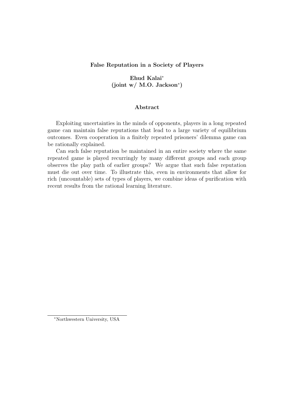False Reputation in a Society of Players

# Ehud Kalai<sup>∗</sup> (joint w/ M.O. Jackson<sup>∗</sup> )

### Abstract

Exploiting uncertainties in the minds of opponents, players in a long repeated game can maintain false reputations that lead to a large variety of equilibrium outcomes. Even cooperation in a finitely repeated prisoners' dilemma game can be rationally explained.

Can such false reputation be maintained in an entire society where the same repeated game is played recurringly by many different groups and each group observes the play path of earlier groups? We argue that such false reputation must die out over time. To illustrate this, even in environments that allow for rich (uncountable) sets of types of players, we combine ideas of purification with recent results from the rational learning literature.

<sup>∗</sup>Northwestern University, USA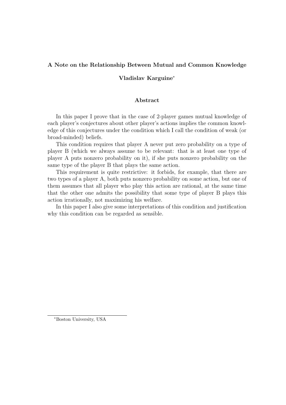## A Note on the Relationship Between Mutual and Common Knowledge

### Vladislav Karguine<sup>∗</sup>

### Abstract

In this paper I prove that in the case of 2-player games mutual knowledge of each player's conjectures about other player's actions implies the common knowledge of this conjectures under the condition which I call the condition of weak (or broad-minded) beliefs.

This condition requires that player A never put zero probability on a type of player B (which we always assume to be relevant: that is at least one type of player A puts nonzero probability on it), if she puts nonzero probability on the same type of the player B that plays the same action.

This requirement is quite restrictive: it forbids, for example, that there are two types of a player A, both puts nonzero probability on some action, but one of them assumes that all player who play this action are rational, at the same time that the other one admits the possibility that some type of player B plays this action irrationally, not maximizing his welfare.

In this paper I also give some interpretations of this condition and justification why this condition can be regarded as sensible.

<sup>∗</sup>Boston University, USA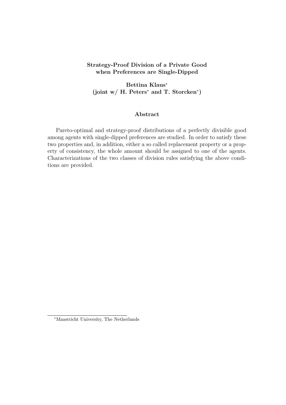## Strategy-Proof Division of a Private Good when Preferences are Single-Dipped

Bettina Klaus<sup>∗</sup> (joint w/ H. Peters<sup>\*</sup> and T. Storcken<sup>\*</sup>)

### Abstract

Pareto-optimal and strategy-proof distributions of a perfectly divisible good among agents with single-dipped preferences are studied. In order to satisfy these two properties and, in addition, either a so called replacement property or a property of consistency, the whole amount should be assigned to one of the agents. Characterizations of the two classes of division rules satisfying the above conditions are provided.

<sup>∗</sup>Maastricht University, The Netherlands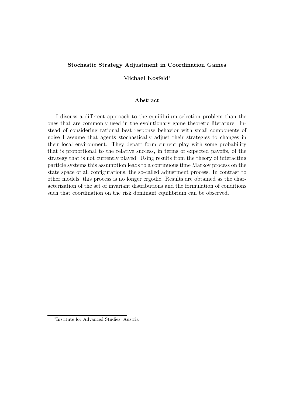### Stochastic Strategy Adjustment in Coordination Games

### Michael Kosfeld<sup>∗</sup>

### Abstract

I discuss a different approach to the equilibrium selection problem than the ones that are commonly used in the evolutionary game theoretic literature. Instead of considering rational best response behavior with small components of noise I assume that agents stochastically adjust their strategies to changes in their local environment. They depart form current play with some probability that is proportional to the relative success, in terms of expected payoffs, of the strategy that is not currently played. Using results from the theory of interacting particle systems this assumption leads to a continuous time Markov process on the state space of all configurations, the so-called adjustment process. In contrast to other models, this process is no longer ergodic. Results are obtained as the characterization of the set of invariant distributions and the formulation of conditions such that coordination on the risk dominant equilibrium can be observed.

<sup>∗</sup> Institute for Advanced Studies, Austria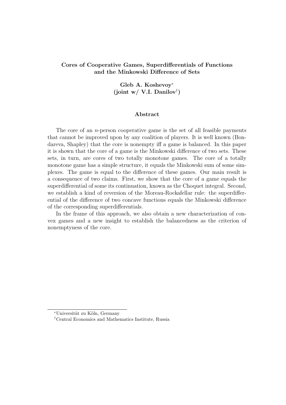# Cores of Cooperative Games, Superdifferentials of Functions and the Minkowski Difference of Sets

# Gleb A. Koshevoy<sup>∗</sup> (joint w/ V.I. Danilov† )

#### Abstract

The core of an *n*-person cooperative game is the set of all feasible payments that cannot be improved upon by any coalition of players. It is well known (Bondareva, Shapley) that the core is nonempty iff a game is balanced. In this paper it is shown that the core of a game is the Minkowski difference of two sets. These sets, in turn, are cores of two totally monotone games. The core of a totally monotone game has a simple structure, it equals the Minkowski sum of some simplexes. The game is equal to the difference of these games. Our main result is a consequence of two claims. First, we show that the core of a game equals the superdifferential of some its continuation, known as the Choquet integral. Second, we establish a kind of reversion of the Moreau-Rockafellar rule: the superdifferential of the difference of two concave functions equals the Minkowski difference of the corresponding superdifferentials.

In the frame of this approach, we also obtain a new characterization of convex games and a new insight to establish the balancedness as the criterion of nonemptyness of the core.

<sup>∗</sup>Universit¨at zu K¨oln, Germany

<sup>†</sup>Central Economics and Mathematics Institute, Russia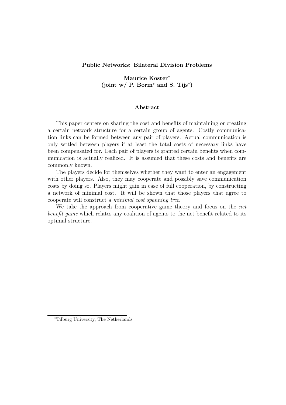### Public Networks: Bilateral Division Problems

Maurice Koster<sup>∗</sup> (joint w/ P. Borm<sup>∗</sup> and S. Tijs<sup>∗</sup> )

### Abstract

This paper centers on sharing the cost and benefits of maintaining or creating a certain network structure for a certain group of agents. Costly communication links can be formed between any pair of players. Actual communication is only settled between players if at least the total costs of necessary links have been compensated for. Each pair of players is granted certain benefits when communication is actually realized. It is assumed that these costs and benefits are commonly known.

The players decide for themselves whether they want to enter an engagement with other players. Also, they may cooperate and possibly save communication costs by doing so. Players might gain in case of full cooperation, by constructing a network of minimal cost. It will be shown that those players that agree to cooperate will construct a minimal cost spanning tree.

We take the approach from cooperative game theory and focus on the net benefit game which relates any coalition of agents to the net benefit related to its optimal structure.

<sup>∗</sup>Tilburg University, The Netherlands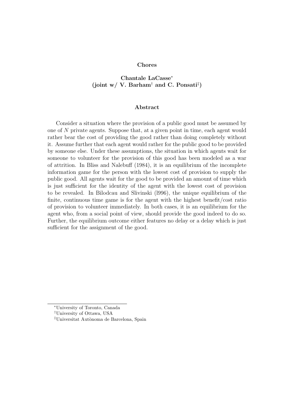### Chores

# Chantale LaCasse<sup>∗</sup> (joint w/ V. Barham<sup>†</sup> and C. Ponsati<sup>‡</sup>)

#### Abstract

Consider a situation where the provision of a public good must be assumed by one of N private agents. Suppose that, at a given point in time, each agent would rather bear the cost of providing the good rather than doing completely without it. Assume further that each agent would rather for the public good to be provided by someone else. Under these assumptions, the situation in which agents wait for someone to volunteer for the provision of this good has been modeled as a war of attrition. In Bliss and Nalebuff (1984), it is an equilibrium of the incomplete information game for the person with the lowest cost of provision to supply the public good. All agents wait for the good to be provided an amount of time which is just sufficient for the identity of the agent with the lowest cost of provision to be revealed. In Bilodcau and Slivinski (l996), the unique equilibrium of the finite, continuous time game is for the agent with the highest benefit/cost ratio of provision to volunteer immediately. In both cases, it is an equilibrium for the agent who, from a social point of view, should provide the good indeed to do so. Further, the equilibrium outcome either features no delay or a delay which is just sufficient for the assignment of the good.

<sup>∗</sup>University of Toronto, Canada

<sup>†</sup>University of Ottawa, USA

<sup>&</sup>lt;sup>‡</sup>Universitat Autònoma de Barcelona, Spain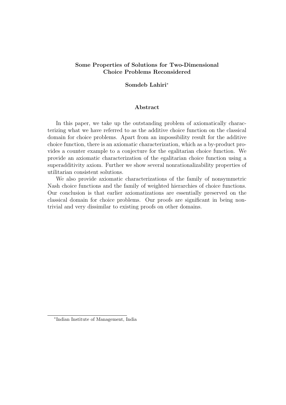## Some Properties of Solutions for Two-Dimensional Choice Problems Reconsidered

### Somdeb Lahiri<sup>∗</sup>

### Abstract

In this paper, we take up the outstanding problem of axiomatically characterizing what we have referred to as the additive choice function on the classical domain for choice problems. Apart from an impossibility result for the additive choice function, there is an axiomatic characterization, which as a by-product provides a counter example to a conjecture for the egalitarian choice function. We provide an axiomatic characterization of the egalitarian choice function using a superadditivity axiom. Further we show several nonrationalizability properties of utilitarian consistent solutions.

We also provide axiomatic characterizations of the family of nonsymmetric Nash choice functions and the family of weighted hierarchies of choice functions. Our conclusion is that earlier axiomatizations are essentially preserved on the classical domain for choice problems. Our proofs are significant in being nontrivial and very dissimilar to existing proofs on other domains.

<sup>∗</sup> Indian Institute of Management, India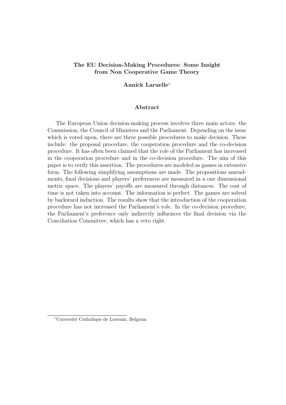## The EU Decision-Making Procedures: Some Insight from Non Cooperative Game Theory

#### Annick Laruelle<sup>∗</sup>

#### Abstract

The European Union decision-making process involves three main actors: the Commission, the Council of Ministers and the Parliament. Depending on the issue which is voted upon, there are three possible procedures to make decision. These include: the proposal procedure, the cooperation procedure and the co-decision procedure. It has often been claimed that the role of the Parliament has increased in the cooperation procedure and in the co-decision procedure. The aim of this paper is to verify this assertion. The procedures are modeled as games in extensive form. The following simplifying assumptions are made. The propositions amendments, final decisions and players' preferences are measured in a one dimensional metric space. The players' payoffs are measured through distances. The cost of time is not taken into account. The information is perfect. The games are solved by backward induction. The results show that the introduction of the cooperation procedure has not increased the Parliament's role. In the co-decision procedure, the Parliament's preference only indirectly influences the final decision via the Conciliation Committee, which has a veto right.

<sup>∗</sup>Universit´e Catholique de Louvain, Belgium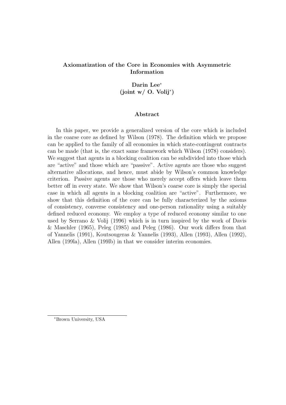# Axiomatization of the Core in Economies with Asymmetric Information

# Darin Lee<sup>∗</sup> (joint w/ O. Volij<sup>∗</sup> )

### Abstract

In this paper, we provide a generalized version of the core which is included in the coarse core as defined by Wilson (1978). The definition which we propose can be applied to the family of all economies in which state-contingent contracts can be made (that is, the exact same framework which Wilson (1978) considers). We suggest that agents in a blocking coalition can be subdivided into those which are "active" and those which are "passive". Active agents are those who suggest alternative allocations, and hence, must abide by Wilson's common knowledge criterion. Passive agents are those who merely accept offers which leave them better off in every state. We show that Wilson's coarse core is simply the special case in which all agents in a blocking coalition are "active". Furthermore, we show that this definition of the core can be fully characterized by the axioms of consistency, converse consistency and one-person rationality using a suitably defined reduced economy. We employ a type of reduced economy similar to one used by Serrano & Volij (1996) which is in turn inspired by the work of Davis & Maschler (1965), Peleg (1985) and Peleg (1986). Our work differs from that of Yannelis (1991), Koutsougeras & Yannelis (1993), Allen (1993), Allen (1992), Allen (199la), Allen (199lb) in that we consider interim economies.

<sup>∗</sup>Brown University, USA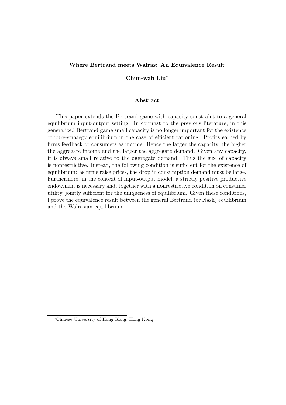### Where Bertrand meets Walras: An Equivalence Result

#### Chun-wah Liu<sup>∗</sup>

### Abstract

This paper extends the Bertrand game with capacity constraint to a general equilibrium input-output setting. In contrast to the previous literature, in this generalized Bertrand game small capacity is no longer important for the existence of pure-strategy equilibrium in the case of efficient rationing. Profits earned by firms feedback to consumers as income. Hence the larger the capacity, the higher the aggregate income and the larger the aggregate demand. Given any capacity, it is always small relative to the aggregate demand. Thus the size of capacity is nonrestrictive. Instead, the following condition is sufficient for the existence of equilibrium: as firms raise prices, the drop in consumption demand must be large. Furthermore, in the context of input-output model, a strictly positive productive endowment is necessary and, together with a nonrestrictive condition on consumer utility, jointly sufficient for the uniqueness of equilibrium. Given these conditions, I prove the equivalence result between the general Bertrand (or Nash) equilibrium and the Walrasian equilibrium.

<sup>∗</sup>Chinese University of Hong Kong, Hong Kong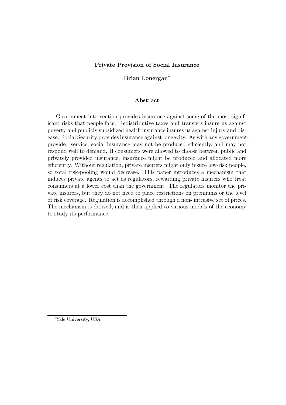## Private Provision of Social Insurance

## Brian Lonergan<sup>∗</sup>

### Abstract

Government intervention provides insurance against some of the most significant risks that people face. Redistributive taxes and transfers insure us against poverty and publicly subsidized health insurance insures us against injury and disease. Social Security provides insurance against longevity. As with any governmentprovided service, social insurance may not be produced efficiently, and may not respond well to demand. If consumers were allowed to choose between public and privately provided insurance, insurance might be produced and allocated more efficiently. Without regulation, private insurers might only insure low-risk people, so total risk-pooling would decrease. This paper introduces a mechanism that induces private agents to act as regulators, rewarding private insurers who treat consumers at a lower cost than the government. The regulators monitor the private insurers, but they do not need to place restrictions on premiums or the level of risk coverage. Regulation is accomplished through a non- intrusive set of prices. The mechanism is derived, and is then applied to various models of the economy to study its performance.

<sup>∗</sup>Yale University, USA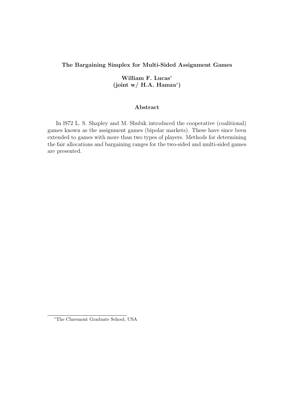## The Bargaining Simplex for Multi-Sided Assignment Games

William F. Lucas<sup>∗</sup>  $(joint w / H.A. Hamza^*)$ 

### Abstract

In l972 L. S. Shapley and M. Shubik introduced the cooperative (coalitional) games known as the assignment games (bipolar markets). These have since been extended to games with more than two types of players. Methods for determining the fair allocations and bargaining ranges for the two-sided and multi-sided games are presented.

<sup>∗</sup>The Claremont Graduate School, USA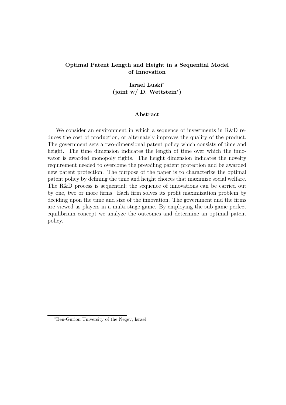# Optimal Patent Length and Height in a Sequential Model of Innovation

Israel Luski<sup>∗</sup> (joint w/ D. Wettstein<sup>∗</sup> )

### Abstract

We consider an environment in which a sequence of investments in R&D reduces the cost of production, or alternately improves the quality of the product. The government sets a two-dimensional patent policy which consists of time and height. The time dimension indicates the length of time over which the innovator is awarded monopoly rights. The height dimension indicates the novelty requirement needed to overcome the prevailing patent protection and be awarded new patent protection. The purpose of the paper is to characterize the optimal patent policy by defining the time and height choices that maximize social welfare. The R&D process is sequential; the sequence of innovations can be carried out by one, two or more firms. Each firm solves its profit maximization problem by deciding upon the time and size of the innovation. The government and the firms are viewed as players in a multi-stage game. By employing the sub-game-perfect equilibrium concept we analyze the outcomes and determine an optimal patent policy.

<sup>∗</sup>Ben-Gurion University of the Negev, Israel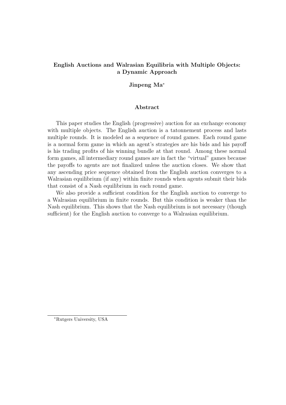# English Auctions and Walrasian Equilibria with Multiple Objects: a Dynamic Approach

## Jinpeng Ma<sup>∗</sup>

### Abstract

This paper studies the English (progressive) auction for an exchange economy with multiple objects. The English auction is a tatonnement process and lasts multiple rounds. It is modeled as a sequence of round games. Each round game is a normal form game in which an agent's strategies are his bids and his payoff is his trading profits of his winning bundle at that round. Among these normal form games, all intermediary round games are in fact the "virtual" games because the payoffs to agents are not finalized unless the auction closes. We show that any ascending price sequence obtained from the English auction converges to a Walrasian equilibrium (if any) within finite rounds when agents submit their bids that consist of a Nash equilibrium in each round game.

We also provide a sufficient condition for the English auction to converge to a Walrasian equilibrium in finite rounds. But this condition is weaker than the Nash equilibrium. This shows that the Nash equilibrium is not necessary (though sufficient) for the English auction to converge to a Walrasian equilibrium.

<sup>∗</sup>Rutgers University, USA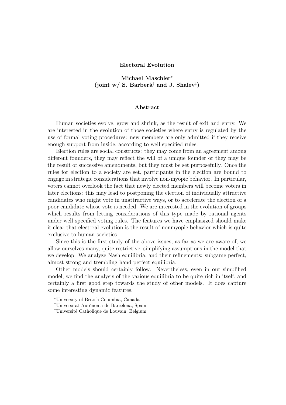### Electoral Evolution

# Michael Maschler<sup>∗</sup> (joint w/ S. Barberà<sup>†</sup> and J. Shalev<sup>‡</sup>)

#### Abstract

Human societies evolve, grow and shrink, as the result of exit and entry. We are interested in the evolution of those societies where entry is regulated by the use of formal voting procedures: new members are only admitted if they receive enough support from inside, according to well specified rules.

Election rules are social constructs: they may come from an agreement among different founders, they may reflect the will of a unique founder or they may be the result of successive amendments, but they must be set purposefully. Once the rules for election to a society are set, participants in the election are bound to engage in strategic considerations that involve non-myopic behavior. In particular, voters cannot overlook the fact that newly elected members will become voters in later elections: this may lead to postponing the election of individually attractive candidates who might vote in unattractive ways, or to accelerate the election of a poor candidate whose vote is needed. We are interested in the evolution of groups which results from letting considerations of this type made by rational agents under well specified voting rules. The features we have emphasized should make it clear that electoral evolution is the result of nonmyopic behavior which is quite exclusive to human societies.

Since this is the first study of the above issues, as far as we are aware of, we allow ourselves many, quite restrictive, simplifying assumptions in the model that we develop. We analyze Nash equilibria, and their refinements: subgame perfect, almost strong and trembling hand perfect equilibria.

Other models should certainly follow. Nevertheless, even in our simplified model, we find the analysis of the various equilibria to be quite rich in itself, and certainly a first good step towards the study of other models. It does capture some interesting dynamic features.

<sup>∗</sup>University of British Columbia, Canada

<sup>&</sup>lt;sup>†</sup>Universitat Autònoma de Barcelona, Spain

<sup>&</sup>lt;sup>‡</sup>Université Catholique de Louvain, Belgium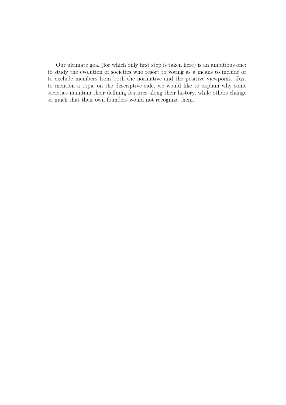Our ultimate goal (for which only first step is taken here) is an ambitious one: to study the evolution of societies who resort to voting as a means to include or to exclude members from both the normative and the positive viewpoint. Just to mention a topic on the descriptive side, we would like to explain why some societies maintain their defining features along their history, while others change so much that their own founders would not recognize them.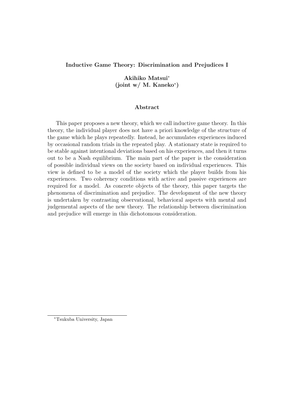## Inductive Game Theory: Discrimination and Prejudices I

# Akihiko Matsui<sup>∗</sup> (joint w/ M. Kaneko<sup>∗</sup> )

### Abstract

This paper proposes a new theory, which we call inductive game theory. In this theory, the individual player does not have a priori knowledge of the structure of the game which he plays repeatedly. Instead, he accumulates experiences induced by occasional random trials in the repeated play. A stationary state is required to be stable against intentional deviations based on his experiences, and then it turns out to be a Nash equilibrium. The main part of the paper is the consideration of possible individual views on the society based on individual experiences. This view is defined to be a model of the society which the player builds from his experiences. Two coherency conditions with active and passive experiences are required for a model. As concrete objects of the theory, this paper targets the phenomena of discrimination and prejudice. The development of the new theory is undertaken by contrasting observational, behavioral aspects with mental and judgemental aspects of the new theory. The relationship between discrimination and prejudice will emerge in this dichotomous consideration.

<sup>∗</sup>Tsukuba University, Japan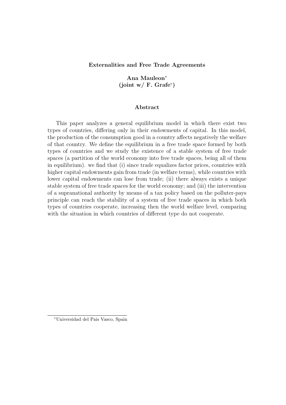### Externalities and Free Trade Agreements

# Ana Mauleon<sup>∗</sup> (joint w/ F. Grafe<sup>∗</sup> )

### Abstract

This paper analyzes a general equilibrium model in which there exist two types of countries, differing only in their endowments of capital. In this model, the production of the consumption good in a country affects negatively the welfare of that country. We define the equilibrium in a free trade space formed by both types of countries and we study the existence of a stable system of free trade spaces (a partition of the world economy into free trade spaces, being all of them in equilibrium). we find that (i) since trade equalizes factor prices, countries with higher capital endowments gain from trade (in welfare terms), while countries with lower capital endowments can lose from trade; (ii) there always exists a unique stable system of free trade spaces for the world economy; and (iii) the intervention of a supranational authority by means of a tax policy based on the polluter-pays principle can reach the stability of a system of free trade spaces in which both types of countries cooperate, increasing then the world welfare level, comparing with the situation in which countries of different type do not cooperate.

<sup>∗</sup>Universidad del Pais Vasco, Spain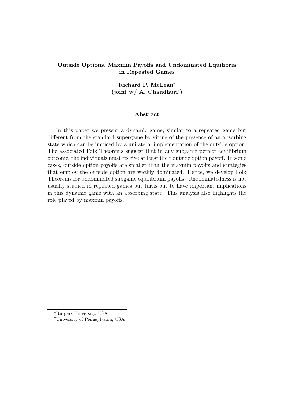# Outside Options, Maxmin Payoffs and Undominated Equilibria in Repeated Games

# Richard P. McLean<sup>∗</sup> (joint w/ A. Chaudhuri† )

#### Abstract

In this paper we present a dynamic game, similar to a repeated game but different from the standard supergame by virtue of the presence of an absorbing state which can be induced by a unilateral implementation of the outside option. The associated Folk Theorems suggest that in any subgame perfect equilibrium outcome, the individuals must receive at least their outside option payoff. In some cases, outside option payoffs are smaller than the maxmin payoffs and strategies that employ the outside option are weakly dominated. Hence, we develop Folk Theorems for undominated subgame equilibrium payoffs. Undominatedness is not usually studied in repeated games but turns out to have important implications in this dynamic game with an absorbing state. This analysis also highlights the role played by maxmin payoffs.

<sup>∗</sup>Rutgers University, USA

<sup>†</sup>University of Pennsylvania, USA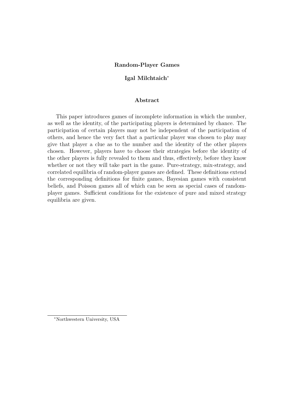### Random-Player Games

### Igal Milchtaich<sup>∗</sup>

#### Abstract

This paper introduces games of incomplete information in which the number, as well as the identity, of the participating players is determined by chance. The participation of certain players may not be independent of the participation of others, and hence the very fact that a particular player was chosen to play may give that player a clue as to the number and the identity of the other players chosen. However, players have to choose their strategies before the identity of the other players is fully revealed to them and thus, effectively, before they know whether or not they will take part in the game. Pure-strategy, mix-strategy, and correlated equilibria of random-player games are defined. These definitions extend the corresponding definitions for finite games, Bayesian games with consistent beliefs, and Poisson games all of which can be seen as special cases of randomplayer games. Sufficient conditions for the existence of pure and mixed strategy equilibria are given.

<sup>∗</sup>Northwestern University, USA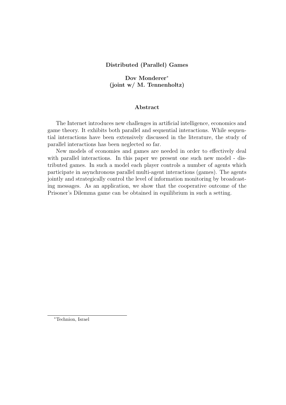## Distributed (Parallel) Games

# Dov Monderer<sup>∗</sup> (joint w/ M. Tennenholtz)

### Abstract

The Internet introduces new challenges in artificial intelligence, economics and game theory. It exhibits both parallel and sequential interactions. While sequential interactions have been extensively discussed in the literature, the study of parallel interactions has been neglected so far.

New models of economies and games are needed in order to effectively deal with parallel interactions. In this paper we present one such new model - distributed games. In such a model each player controls a number of agents which participate in asynchronous parallel multi-agent interactions (games). The agents jointly and strategically control the level of information monitoring by broadcasting messages. As an application, we show that the cooperative outcome of the Prisoner's Dilemma game can be obtained in equilibrium in such a setting.

<sup>∗</sup>Technion, Israel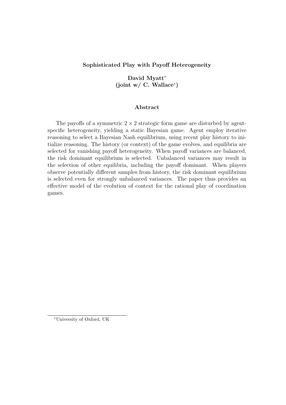# Sophisticated Play with Payoff Heterogeneity

David Myatt<sup>∗</sup> (joint w/ C. Wallace<sup>∗</sup> )

### Abstract

The payoffs of a symmetric  $2 \times 2$  strategic form game are disturbed by agentspecific heterogeneity, yielding a static Bayesian game. Agent employ iterative reasoning to select a Bayesian Nash equilibrium, using recent play history to initialize reasoning. The history (or context) of the game evolves, and equilibria are selected for vanishing payoff heterogeneity. When payoff variances are balanced, the risk dominant equilibrium is selected. Unbalanced variances may result in the selection of other equilibria, including the payoff dominant. When players observe potentially different samples from history, the risk dominant equilibrium is selected even for strongly unbalanced variances. The paper thus provides an effective model of the evolution of context for the rational play of coordination games.

<sup>∗</sup>University of Oxford, UK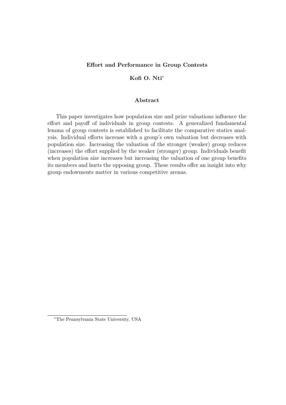## Effort and Performance in Group Contests

## Kofi O. Nti<sup>∗</sup>

### Abstract

This paper investigates how population size and prize valuations influence the effort and payoff of individuals in group contests. A generalized fundamental lemma of group contests is established to facilitate the comparative statics analysis. Individual efforts increase with a group's own valuation but decreases with population size. Increasing the valuation of the stronger (weaker) group reduces (increases) the effort supplied by the weaker (stronger) group. Individuals benefit when population size increases but increasing the valuation of one group benefits its members and hurts the opposing group. These results offer an insight into why group endowments matter in various competitive arenas.

<sup>∗</sup>The Pennsylvania State University, USA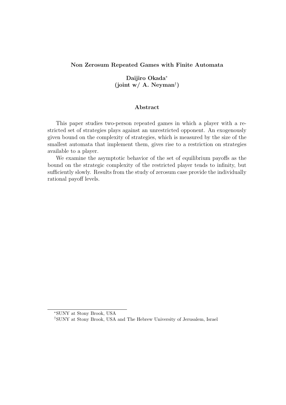### Non Zerosum Repeated Games with Finite Automata

Daijiro Okada<sup>∗</sup> (joint w/ A. Neyman† )

### Abstract

This paper studies two-person repeated games in which a player with a restricted set of strategies plays against an unrestricted opponent. An exogenously given bound on the complexity of strategies, which is measured by the size of the smallest automata that implement them, gives rise to a restriction on strategies available to a player.

We examine the asymptotic behavior of the set of equilibrium payoffs as the bound on the strategic complexity of the restricted player tends to infinity, but sufficiently slowly. Results from the study of zerosum case provide the individually rational payoff levels.

<sup>∗</sup>SUNY at Stony Brook, USA

<sup>†</sup>SUNY at Stony Brook, USA and The Hebrew University of Jerusalem, Israel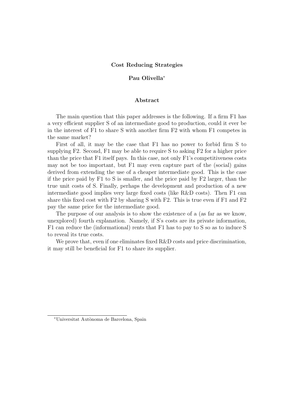### Cost Reducing Strategies

### Pau Olivella<sup>∗</sup>

#### Abstract

The main question that this paper addresses is the following. If a firm F1 has a very efficient supplier S of an intermediate good to production, could it ever be in the interest of F1 to share S with another firm F2 with whom F1 competes in the same market?

First of all, it may be the case that F1 has no power to forbid firm S to supplying F2. Second, F1 may be able to require S to asking F2 for a higher price than the price that F1 itself pays. In this case, not only F1's competitiveness costs may not be too important, but F1 may even capture part of the (social) gains derived from extending the use of a cheaper intermediate good. This is the case if the price paid by F1 to S is smaller, and the price paid by F2 larger, than the true unit costs of S. Finally, perhaps the development and production of a new intermediate good implies very large fixed costs (like R&D costs). Then F1 can share this fixed cost with F2 by sharing S with F2. This is true even if F1 and F2 pay the same price for the intermediate good.

The purpose of our analysis is to show the existence of a (as far as we know, unexplored) fourth explanation. Namely, if S's costs are its private information, F1 can reduce the (informational) rents that F1 has to pay to S so as to induce S to reveal its true costs.

We prove that, even if one eliminates fixed R&D costs and price discrimination, it may still be beneficial for F1 to share its supplier.

<sup>∗</sup>Universitat Aut`onoma de Barcelona, Spain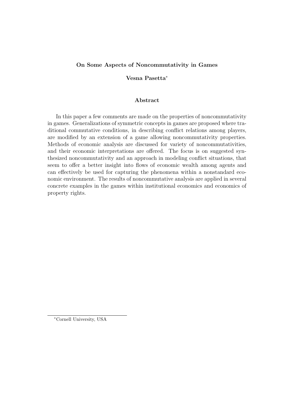## On Some Aspects of Noncommutativity in Games

### Vesna Pasetta<sup>∗</sup>

### Abstract

In this paper a few comments are made on the properties of noncommutativity in games. Generalizations of symmetric concepts in games are proposed where traditional commutative conditions, in describing conflict relations among players, are modified by an extension of a game allowing noncommutativity properties. Methods of economic analysis are discussed for variety of noncommutativities, and their economic interpretations are offered. The focus is on suggested synthesized noncommutativity and an approach in modeling conflict situations, that seem to offer a better insight into flows of economic wealth among agents and can effectively be used for capturing the phenomena within a nonstandard economic environment. The results of noncommutative analysis are applied in several concrete examples in the games within institutional economics and economics of property rights.

<sup>∗</sup>Cornell University, USA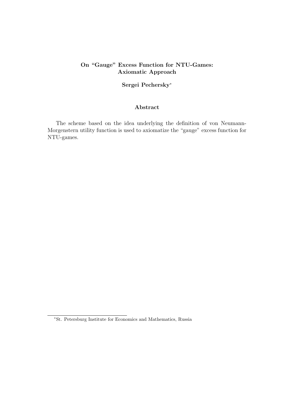# On "Gauge" Excess Function for NTU-Games: Axiomatic Approach

## Sergei Pechersky<sup>∗</sup>

## Abstract

The scheme based on the idea underlying the definition of von Neumann-Morgenstern utility function is used to axiomatize the "gauge" excess function for NTU-games.

<sup>∗</sup>St. Petersburg Institute for Economics and Mathematics, Russia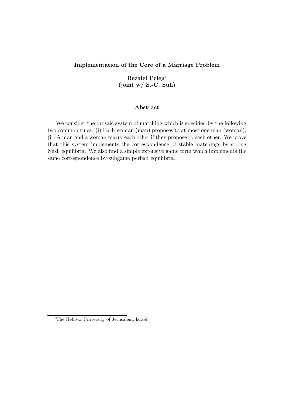## Implementation of the Core of a Marriage Problem

Bezalel Peleg<sup>∗</sup> (joint w/ S.-C. Suh)

### Abstract

We consider the prosaic system of matching which is specified by the following two common rules: (i) Each woman (man) proposes to at most one man (woman), (ii) A man and a woman marry each other if they propose to each other. We prove that this system implements the correspondence of stable matchings by strong Nash equilibria. We also find a simple extensive game form which implements the same correspondence by subgame perfect equilibria.

<sup>∗</sup>The Hebrew University of Jerusalem, Israel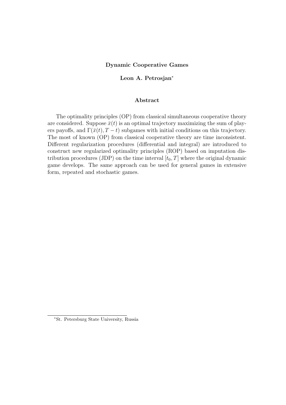### Dynamic Cooperative Games

### Leon A. Petrosjan<sup>∗</sup>

### Abstract

The optimality principles (OP) from classical simultaneous cooperative theory are considered. Suppose  $\bar{x}(t)$  is an optimal trajectory maximizing the sum of players payoffs, and  $\Gamma(\bar{x}(t), T - t)$  subgames with initial conditions on this trajectory. The most of known (OP) from classical cooperative theory are time inconsistent. Different regularization procedures (differential and integral) are introduced to construct new regularized optimality principles (ROP) based on imputation distribution procedures (JDP) on the time interval  $[t_0, T]$  where the original dynamic game develops. The same approach can be used for general games in extensive form, repeated and stochastic games.

<sup>∗</sup>St. Petersburg State University, Russia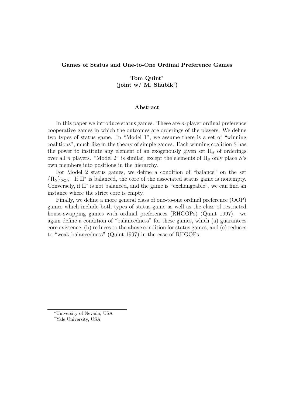### Games of Status and One-to-One Ordinal Preference Games

Tom Quint<sup>∗</sup> (joint w/ M. Shubik† )

#### Abstract

In this paper we introduce status games. These are  $n$ -player ordinal preference cooperative games in which the outcomes are orderings of the players. We define two types of status game. In "Model 1", we assume there is a set of "winning coalitions", much like in the theory of simple games. Each winning coalition S has the power to institute any element of an exogenously given set  $\Pi<sub>S</sub>$  of orderings over all n players. "Model 2" is similar, except the elements of  $\Pi_S$  only place S's own members into positions in the hierarchy.

For Model 2 status games, we define a condition of "balance" on the set  ${\{\Pi_S\}_{S\subset N}}$ . If  $\Pi^*$  is balanced, the core of the associated status game is nonempty. Conversely, if Π<sup>∗</sup> is not balanced, and the game is "exchangeable", we can find an instance where the strict core is empty.

Finally, we define a more general class of one-to-one ordinal preference (OOP) games which include both types of status game as well as the class of restricted house-swapping games with ordinal preferences (RHGOPs) (Quint 1997). we again define a condition of "balancedness" for these games, which (a) guarantees core existence, (b) reduces to the above condition for status games, and (c) reduces to "weak balancedness" (Quint 1997) in the case of RHGOPs.

<sup>∗</sup>University of Nevada, USA †Yale University, USA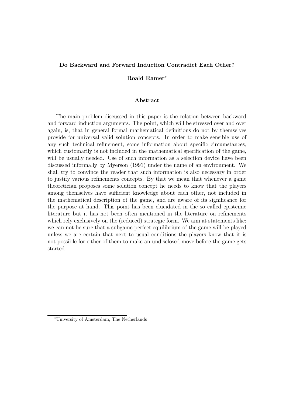## Do Backward and Forward Induction Contradict Each Other?

## Roald Ramer<sup>∗</sup>

#### Abstract

The main problem discussed in this paper is the relation between backward and forward induction arguments. The point, which will be stressed over and over again, is, that in general formal mathematical definitions do not by themselves provide for universal valid solution concepts. In order to make sensible use of any such technical refinement, some information about specific circumstances, which customarily is not included in the mathematical specification of the game, will be usually needed. Use of such information as a selection device have been discussed informally by Myerson (1991) under the name of an environment. We shall try to convince the reader that such information is also necessary in order to justify various refinements concepts. By that we mean that whenever a game theoretician proposes some solution concept he needs to know that the players among themselves have sufficient knowledge about each other, not included in the mathematical description of the game, and are aware of its significance for the purpose at hand. This point has been elucidated in the so called epistemic literature but it has not been often mentioned in the literature on refinements which rely exclusively on the (reduced) strategic form. We aim at statements like: we can not be sure that a subgame perfect equilibrium of the game will be played unless we are certain that next to usual conditions the players know that it is not possible for either of them to make an undisclosed move before the game gets started.

<sup>∗</sup>University of Amsterdam, The Netherlands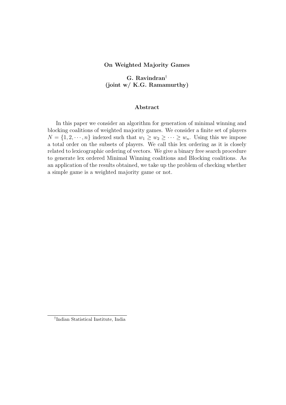### On Weighted Majority Games

G. Ravindran† (joint w/ K.G. Ramamurthy)

### Abstract

In this paper we consider an algorithm for generation of minimal winning and blocking coalitions of weighted majority games. We consider a finite set of players  $N = \{1, 2, \dots, n\}$  indexed such that  $w_1 \geq w_2 \geq \dots \geq w_n$ . Using this we impose a total order on the subsets of players. We call this lex ordering as it is closely related to lexicographic ordering of vectors. We give a binary free search procedure to generate lex ordered Minimal Winning coalitions and Blocking coalitions. As an application of the results obtained, we take up the problem of checking whether a simple game is a weighted majority game or not.

<sup>†</sup> Indian Statistical Institute, India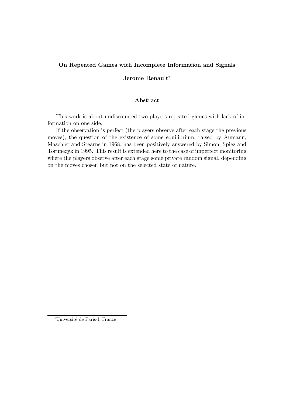## On Repeated Games with Incomplete Information and Signals

## Jerome Renault<sup>∗</sup>

### Abstract

This work is about undiscounted two-players repeated games with lack of information on one side.

If the observation is perfect (the players observe after each stage the previous moves), the question of the existence of some equilibrium, raised by Aumann, Maschler and Stearns in 1968, has been positively answered by Simon, Spiez and Torunezyk in 1995. This result is extended here to the case of imperfect monitoring where the players observe after each stage some private random signal, depending on the moves chosen but not on the selected state of nature.

<sup>∗</sup>Universit´e de Paris-I, France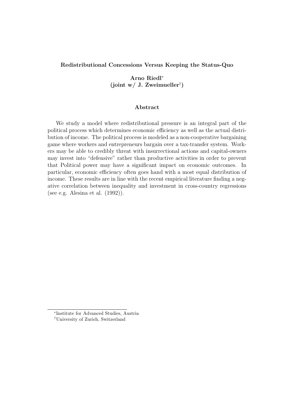## Redistributional Concessions Versus Keeping the Status-Quo

# Arno Riedl<sup>∗</sup> (joint w/ J. Zweimueller<sup>†</sup>)

### Abstract

We study a model where redistributional pressure is an integral part of the political process which determines economic efficiency as well as the actual distribution of income. The political process is modeled as a non-cooperative bargaining game where workers and entrepreneurs bargain over a tax-transfer system. Workers may be able to credibly threat with insurrectional actions and capital-owners may invest into "defensive" rather than productive activities in order to prevent that Political power may have a significant impact on economic outcomes. In particular, economic efficiency often goes hand with a most equal distribution of income. These results are in line with the recent empirical literature finding a negative correlation between inequality and investment in cross-country regressions (see e.g. Alesina et al. (1992)).

<sup>∗</sup> Institute for Advanced Studies, Austria †University of Zurich, Switzerland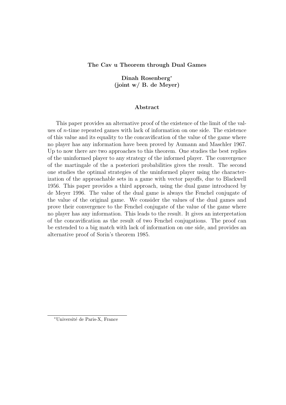### The Cav u Theorem through Dual Games

Dinah Rosenberg<sup>∗</sup> (joint w/ B. de Meyer)

#### Abstract

This paper provides an alternative proof of the existence of the limit of the values of *n*-time repeated games with lack of information on one side. The existence of this value and its equality to the concavification of the value of the game where no player has any information have been proved by Aumann and Maschler 1967. Up to now there are two approaches to this theorem. One studies the best replies of the uninformed player to any strategy of the informed player. The convergence of the martingale of the a posteriori probabilities gives the result. The second one studies the optimal strategies of the uninformed player using the characterization of the approachable sets in a game with vector payoffs, due to Blackwell 1956. This paper provides a third approach, using the dual game introduced by de Meyer 1996. The value of the dual game is always the Fenchel conjugate of the value of the original game. We consider the values of the dual games and prove their convergence to the Fenchel conjugate of the value of the game where no player has any information. This leads to the result. It gives an interpretation of the concavification as the result of two Fenchel conjugations. The proof can be extended to a big match with lack of information on one side, and provides an alternative proof of Sorin's theorem 1985.

<sup>∗</sup>Universit´e de Paris-X, France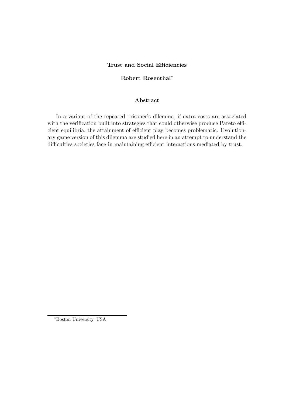# Trust and Social Efficiencies

# Robert Rosenthal<sup>∗</sup>

### Abstract

In a variant of the repeated prisoner's dilemma, if extra costs are associated with the verification built into strategies that could otherwise produce Pareto efficient equilibria, the attainment of efficient play becomes problematic. Evolutionary game version of this dilemma are studied here in an attempt to understand the difficulties societies face in maintaining efficient interactions mediated by trust.

<sup>∗</sup>Boston University, USA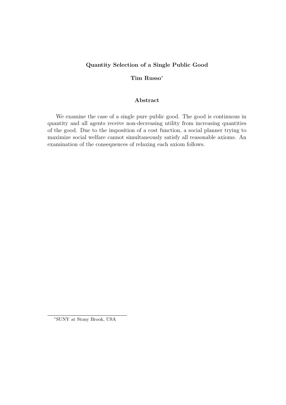# Quantity Selection of a Single Public Good

# Tim Russo<sup>∗</sup>

## Abstract

We examine the case of a single pure public good. The good is continuous in quantity and all agents receive non-decreasing utility from increasing quantities of the good. Due to the imposition of a cost function, a social planner trying to maximize social welfare cannot simultaneously satisfy all reasonable axioms. An examination of the consequences of relaxing each axiom follows.

<sup>∗</sup>SUNY at Stony Brook, USA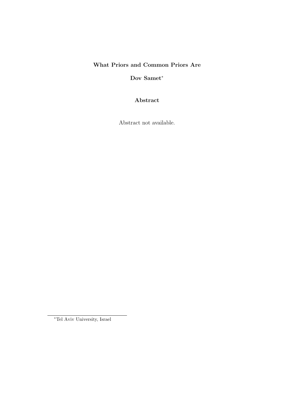# What Priors and Common Priors Are

Dov Samet<sup>\*</sup>

Abstract

Abstract not available.

<sup>∗</sup>Tel Aviv University, Israel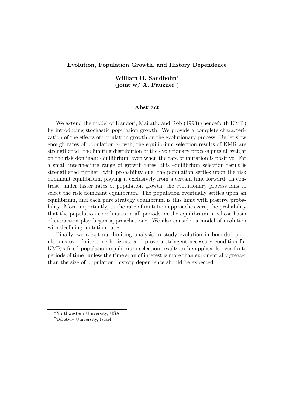### Evolution, Population Growth, and History Dependence

William H. Sandholm<sup>∗</sup> (joint w/ A. Pauzner† )

#### Abstract

We extend the model of Kandori, Mailath, and Rob (1993) (henceforth KMR) by introducing stochastic population growth. We provide a complete characterization of the effects of population growth on the evolutionary process. Under slow enough rates of population growth, the equilibrium selection results of KMR are strengthened: the limiting distribution of the evolutionary process puts all weight on the risk dominant equilibrium, even when the rate of mutation is positive. For a small intermediate range of growth rates, this equilibrium selection result is strengthened further: with probability one, the population settles upon the risk dominant equilibrium, playing it exclusively from a certain time forward. In contrast, under faster rates of population growth, the evolutionary process fails to select the risk dominant equilibrium. The population eventually settles upon an equilibrium, and each pure strategy equilibrium is this limit with positive probability. More importantly, as the rate of mutation approaches zero, the probability that the population coordinates in all periods on the equilibrium in whose basin of attraction play began approaches one. We also consider a model of evolution with declining mutation rates.

Finally, we adapt our limiting analysis to study evolution in bounded populations over finite time horizons, and prove a stringent necessary condition for KMR's fixed population equilibrium selection results to be applicable over finite periods of time: unless the time span of interest is more than exponentially greater than the size of population, history dependence should be expected.

<sup>∗</sup>Northwestern University, USA

<sup>†</sup>Tel Aviv University, Israel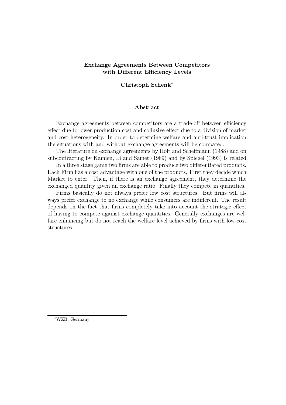# Exchange Agreements Between Competitors with Different Efficiency Levels

### Christoph Schenk<sup>∗</sup>

### Abstract

Exchange agreements between competitors are a trade-off between efficiency effect due to lower production cost and collusive effect due to a division of market and cost heterogeneity. In order to determine welfare and anti-trust implication the situations with and without exchange agreements will be compared.

The literature on exchange agreements by Holt and Scheffmann (1988) and on subcontracting by Kamien, Li and Samet (1989) and by Spiegel (1993) is related

In a three stage game two firms are able to produce two differentiated products. Each Firm has a cost advantage with one of the products. First they decide which Market to enter. Then, if there is an exchange agreement, they determine the exchanged quantity given an exchange ratio. Finally they compete in quantities.

Firms basically do not always prefer low cost structures. But firms will always prefer exchange to no exchange while consumers are indifferent. The result depends on the fact that firms completely take into account the strategic effect of having to compete against exchange quantities. Generally exchanges are welfare enhancing but do not reach the welfare level achieved by firms with low-cost structures.

<sup>∗</sup>WZB, Germany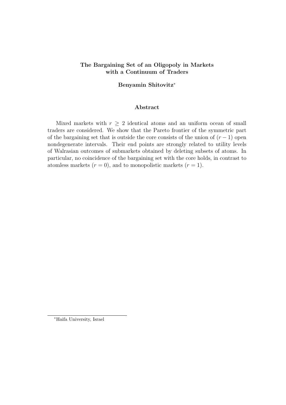# The Bargaining Set of an Oligopoly in Markets with a Continuum of Traders

### Benyamin Shitovitz<sup>∗</sup>

#### Abstract

Mixed markets with  $r \geq 2$  identical atoms and an uniform ocean of small traders are considered. We show that the Pareto frontier of the symmetric part of the bargaining set that is outside the core consists of the union of  $(r-1)$  open nondegenerate intervals. Their end points are strongly related to utility levels of Walrasian outcomes of submarkets obtained by deleting subsets of atoms. In particular, no coincidence of the bargaining set with the core holds, in contrast to atomless markets  $(r = 0)$ , and to monopolistic markets  $(r = 1)$ .

<sup>∗</sup>Haifa University, Israel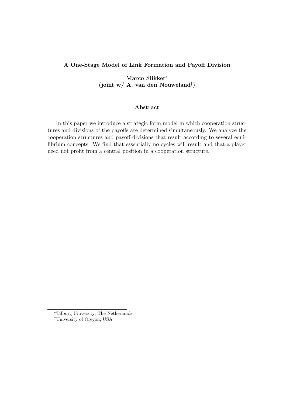## A One-Stage Model of Link Formation and Payoff Division

Marco Slikker<sup>∗</sup> (joint w/ A. van den Nouweland† )

### Abstract

In this paper we introduce a strategic form model in which cooperation structures and divisions of the payoffs are determined simultaneously. We analyze the cooperation structures and payoff divisions that result according to several equilibrium concepts. We find that essentially no cycles will result and that a player need not profit from a central position in a cooperation structure.

<sup>∗</sup>Tilburg University, The Netherlands †University of Oregon, USA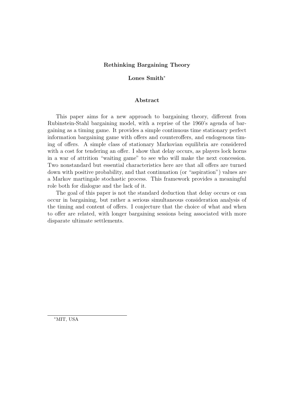### Rethinking Bargaining Theory

### Lones Smith<sup>∗</sup>

#### Abstract

This paper aims for a new approach to bargaining theory, different from Rubinstein-Stahl bargaining model, with a reprise of the 1960's agenda of bargaining as a timing game. It provides a simple continuous time stationary perfect information bargaining game with offers and counteroffers, and endogenous timing of offers. A simple class of stationary Markovian equilibria are considered with a cost for tendering an offer. I show that delay occurs, as players lock horns in a war of attrition "waiting game" to see who will make the next concession. Two nonstandard but essential characteristics here are that all offers are turned down with positive probability, and that continuation (or "aspiration") values are a Markov martingale stochastic process. This framework provides a meaningful role both for dialogue and the lack of it.

The goal of this paper is not the standard deduction that delay occurs or can occur in bargaining, but rather a serious simultaneous consideration analysis of the timing and content of offers. I conjecture that the choice of what and when to offer are related, with longer bargaining sessions being associated with more disparate ultimate settlements.

<sup>∗</sup>MIT, USA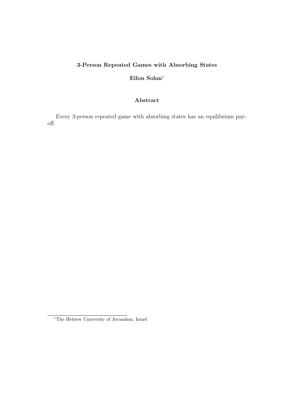# 3-Person Repeated Games with Absorbing States

# Eilon Solan<sup>∗</sup>

# Abstract

Every 3-person repeated game with absorbing states has an equilibrium payoff.

<sup>∗</sup>The Hebrew University of Jerusalem, Israel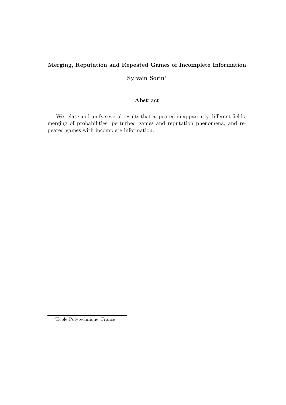# Merging, Reputation and Repeated Games of Incomplete Information

# Sylvain Sorin<sup>∗</sup>

# Abstract

We relate and unify several results that appeared in apparently different fields: merging of probabilities, perturbed games and reputation phenomena, and repeated games with incomplete information.

<sup>∗</sup>Ecole Polytechnique, France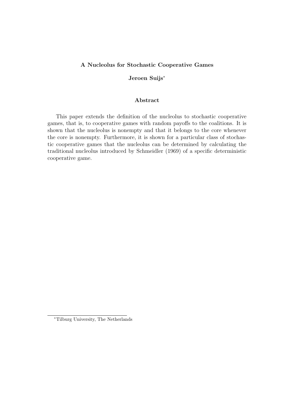### A Nucleolus for Stochastic Cooperative Games

### Jeroen Suijs<sup>∗</sup>

### Abstract

This paper extends the definition of the nucleolus to stochastic cooperative games, that is, to cooperative games with random payoffs to the coalitions. It is shown that the nucleolus is nonempty and that it belongs to the core whenever the core is nonempty. Furthermore, it is shown for a particular class of stochastic cooperative games that the nucleolus can be determined by calculating the traditional nucleolus introduced by Schmeidler (1969) of a specific deterministic cooperative game.

<sup>∗</sup>Tilburg University, The Netherlands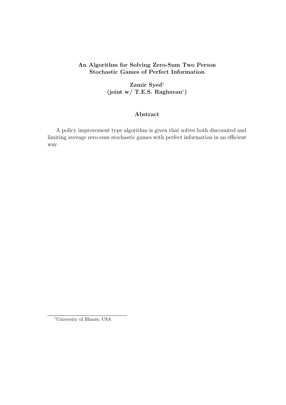# An Algorithm for Solving Zero-Sum Two Person Stochastic Games of Perfect Information

Zamir Syed† (joint w/ T.E.S. Raghavan<sup>∗</sup> )

# Abstract

A policy improvement type algorithm is given that solves both discounted and limiting average zero-sum stochastic games with perfect information in an efficient way.

†University of Illinois, USA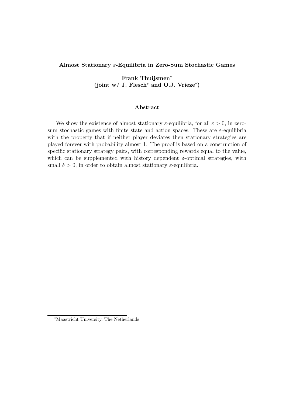### Almost Stationary ε-Equilibria in Zero-Sum Stochastic Games

Frank Thuijsmen<sup>∗</sup> (joint w/ J. Flesch<sup>∗</sup> and O.J. Vrieze<sup>∗</sup> )

### Abstract

We show the existence of almost stationary  $\varepsilon$ -equilibria, for all  $\varepsilon > 0$ , in zerosum stochastic games with finite state and action spaces. These are  $\varepsilon$ -equilibria with the property that if neither player deviates then stationary strategies are played forever with probability almost 1. The proof is based on a construction of specific stationary strategy pairs, with corresponding rewards equal to the value, which can be supplemented with history dependent  $\delta$ -optimal strategies, with small  $\delta > 0$ , in order to obtain almost stationary  $\varepsilon$ -equilibria.

<sup>∗</sup>Maastricht University, The Netherlands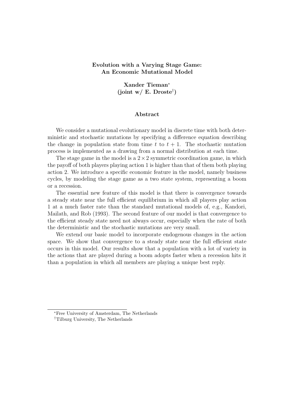## Evolution with a Varying Stage Game: An Economic Mutational Model

Xander Tieman<sup>∗</sup> (joint w/ E. Droste<sup>†</sup>)

#### Abstract

We consider a mutational evolutionary model in discrete time with both deterministic and stochastic mutations by specifying a difference equation describing the change in population state from time t to  $t + 1$ . The stochastic mutation process is implemented as a drawing from a normal distribution at each time.

The stage game in the model is a  $2 \times 2$  symmetric coordination game, in which the payoff of both players playing action 1 is higher than that of them both playing action 2. We introduce a specific economic feature in the model, namely business cycles, by modeling the stage game as a two state system, representing a boom or a recession.

The essential new feature of this model is that there is convergence towards a steady state near the full efficient equilibrium in which all players play action 1 at a much faster rate than the standard mutational models of, e.g., Kandori, Mailath, and Rob (1993). The second feature of our model is that convergence to the efficient steady state need not always occur, especially when the rate of both the deterministic and the stochastic mutations are very small.

We extend our basic model to incorporate endogenous changes in the action space. We show that convergence to a steady state near the full efficient state occurs in this model. Our results show that a population with a lot of variety in the actions that are played during a boom adopts faster when a recession hits it than a population in which all members are playing a unique best reply.

<sup>∗</sup>Free University of Amsterdam, The Netherlands

<sup>†</sup>Tilburg University, The Netherlands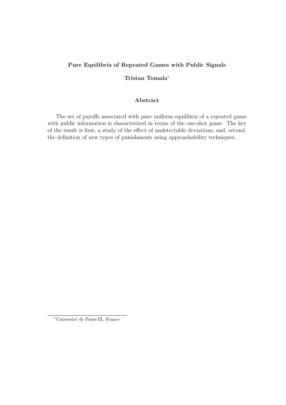# Pure Equilibria of Repeated Games with Public Signals

# Tristan Tomala<sup>∗</sup>

## Abstract

The set of payoffs associated with pure uniform equilibria of a repeated game with public information is characterized in terms of the one-shot game. The key of the result is first, a study of the effect of undetectable deviations, and, second, the definition of new types of punishments using approachability techniques.

<sup>∗</sup>Universit´e de Paris-IX, France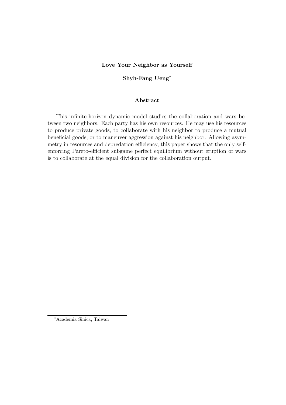### Love Your Neighbor as Yourself

### Shyh-Fang Ueng<sup>∗</sup>

### Abstract

This infinite-horizon dynamic model studies the collaboration and wars between two neighbors. Each party has his own resources. He may use his resources to produce private goods, to collaborate with his neighbor to produce a mutual beneficial goods, or to maneuver aggression against his neighbor. Allowing asymmetry in resources and depredation efficiency, this paper shows that the only selfenforcing Pareto-efficient subgame perfect equilibrium without eruption of wars is to collaborate at the equal division for the collaboration output.

<sup>∗</sup>Academia Sinica, Taiwan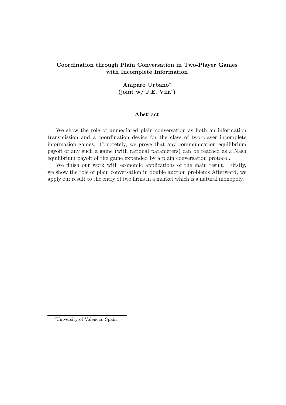# Coordination through Plain Conversation in Two-Player Games with Incomplete Information

# Amparo Urbano<sup>∗</sup>  $(joint w / J.E. Vila^*)$

### Abstract

We show the role of unmediated plain conversation as both an information transmission and a coordination device for the class of two-player incomplete information games. Concretely, we prove that any communication equilibrium payoff of any such a game (with rational parameters) can be reached as a Nash equilibrium payoff of the game expended by a plain conversation protocol.

We finish our work with economic applications of the main result. Firstly, we show the role of plain conversation in double auction problems Afterward, we apply our result to the entry of two firms in a market which is a natural monopoly.

<sup>∗</sup>University of Valencia, Spain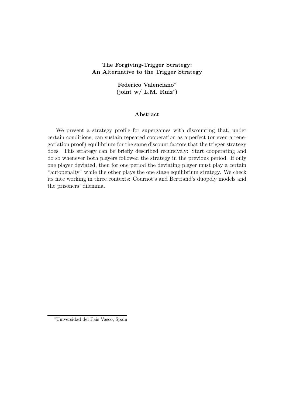# The Forgiving-Trigger Strategy: An Alternative to the Trigger Strategy

Federico Valenciano<sup>∗</sup> (joint w/ L.M. Ruiz<sup>∗</sup> )

### Abstract

We present a strategy profile for supergames with discounting that, under certain conditions, can sustain repeated cooperation as a perfect (or even a renegotiation proof) equilibrium for the same discount factors that the trigger strategy does. This strategy can be briefly described recursively: Start cooperating and do so whenever both players followed the strategy in the previous period. If only one player deviated, then for one period the deviating player must play a certain "autopenalty" while the other plays the one stage equilibrium strategy. We check its nice working in three contexts: Cournot's and Bertrand's duopoly models and the prisoners' dilemma.

<sup>∗</sup>Universidad del Pais Vasco, Spain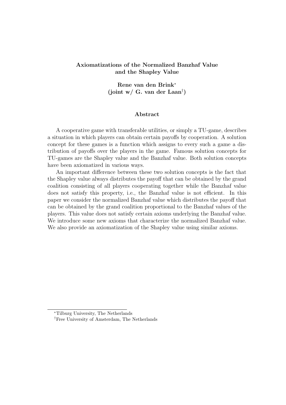## Axiomatizations of the Normalized Banzhaf Value and the Shapley Value

Rene van den Brink<sup>∗</sup> (joint w/ G. van der Laan† )

#### Abstract

A cooperative game with transferable utilities, or simply a TU-game, describes a situation in which players can obtain certain payoffs by cooperation. A solution concept for these games is a function which assigns to every such a game a distribution of payoffs over the players in the game. Famous solution concepts for TU-games are the Shapley value and the Banzhaf value. Both solution concepts have been axiomatized in various ways.

An important difference between these two solution concepts is the fact that the Shapley value always distributes the payoff that can be obtained by the grand coalition consisting of all players cooperating together while the Banzhaf value does not satisfy this property, i.e., the Banzhaf value is not efficient. In this paper we consider the normalized Banzhaf value which distributes the payoff that can be obtained by the grand coalition proportional to the Banzhaf values of the players. This value does not satisfy certain axioms underlying the Banzhaf value. We introduce some new axioms that characterize the normalized Banzhaf value. We also provide an axiomatization of the Shapley value using similar axioms.

<sup>∗</sup>Tilburg University, The Netherlands

<sup>†</sup>Free University of Amsterdam, The Netherlands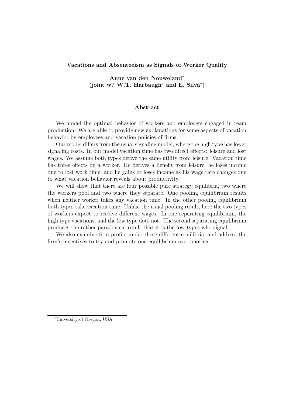### Vacations and Absenteeism as Signals of Worker Quality

Anne van den Nouweland<sup>∗</sup> (joint w/ W.T. Harbaugh<sup>\*</sup> and E. Silva<sup>\*</sup>)

#### Abstract

We model the optimal behavior of workers and employers engaged in team production. We are able to provide new explanations for some aspects of vacation behavior by employees and vacation policies of firms.

Our model differs from the usual signaling model, where the high type has lower signaling costs. In our model vacation time has two direct effects: leisure and lost wages. We assume both types derive the same utility from leisure. Vacation time has three effects on a worker. He derives a benefit from leisure, he loses income due to lost work time, and he gains or loses income as his wage rate changes due to what vacation behavior reveals about productivity.

We will show that there are four possible pure strategy equilibria, two where the workers pool and two where they separate. One pooling equilibrium results when neither worker takes any vacation time. In the other pooling equilibrium both types take vacation time. Unlike the usual pooling result, here the two types of workers expect to receive different wages. In one separating equilibrium, the high type vacations, and the low type does not. The second separating equilibrium produces the rather paradoxical result that it is the low types who signal.

We also examine firm profits under these different equilibria, and address the firm's incentives to try and promote one equilibrium over another.

<sup>∗</sup>University of Oregon, USA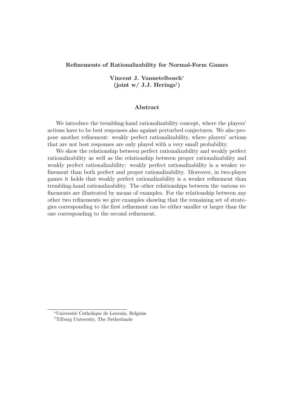### Refinements of Rationalizability for Normal-Form Games

Vincent J. Vannetelbosch<sup>∗</sup> (joint w/ J.J. Herings<sup>†</sup>)

### Abstract

We introduce the trembling-hand rationalizability concept, where the players' actions have to be best responses also against perturbed conjectures. We also propose another refinement: weakly perfect rationalizability, where players' actions that are not best responses are only played with a very small probability.

We show the relationship between perfect rationalizability and weakly perfect rationalizability as well as the relationship between proper rationalizability and weakly perfect rationalizability: weakly perfect rationalizability is a weaker refinement than both perfect and proper rationalizability. Moreover, in two-player games it holds that weakly perfect rationalizability is a weaker refinement than trembling-hand rationalizability. The other relationships between the various refinements are illustrated by means of examples. For the relationship between any other two refinements we give examples showing that the remaining set of strategies corresponding to the first refinement can be either smaller or larger than the one corresponding to the second refinement.

<sup>∗</sup>Universit´e Catholique de Louvain, Belgium

<sup>†</sup>Tilburg University, The Netherlands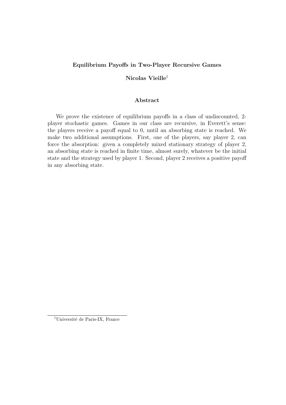### Equilibrium Payoffs in Two-Player Recursive Games

# Nicolas Vieille†

#### Abstract

We prove the existence of equilibrium payoffs in a class of undiscounted, 2 player stochastic games. Games in our class are recursive, in Everett's sense: the players receive a payoff equal to 0, until an absorbing state is reached. We make two additional assumptions. First, one of the players, say player 2, can force the absorption: given a completely mixed stationary strategy of player 2, an absorbing state is reached in finite time, almost surely, whatever be the initial state and the strategy used by player 1. Second, player 2 receives a positive payoff in any absorbing state.

<sup>&</sup>lt;sup>†</sup>Université de Paris-IX, France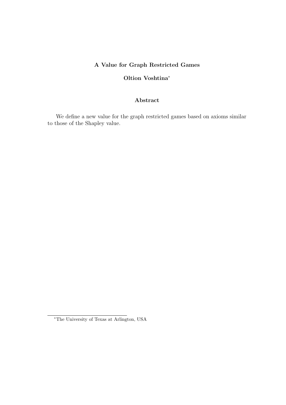# A Value for Graph Restricted Games

# Oltion Voshtina<sup>∗</sup>

## Abstract

We define a new value for the graph restricted games based on axioms similar to those of the Shapley value.

<sup>∗</sup>The University of Texas at Arlington, USA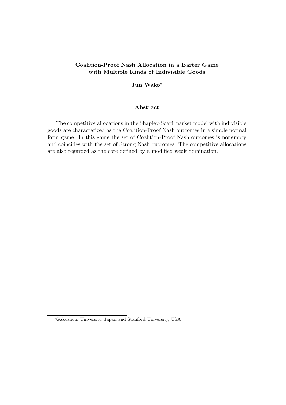# Coalition-Proof Nash Allocation in a Barter Game with Multiple Kinds of Indivisible Goods

### Jun Wako<sup>∗</sup>

### Abstract

The competitive allocations in the Shapley-Scarf market model with indivisible goods are characterized as the Coalition-Proof Nash outcomes in a simple normal form game. In this game the set of Coalition-Proof Nash outcomes is nonempty and coincides with the set of Strong Nash outcomes. The competitive allocations are also regarded as the core defined by a modified weak domination.

<sup>∗</sup>Gakushuin University, Japan and Stanford University, USA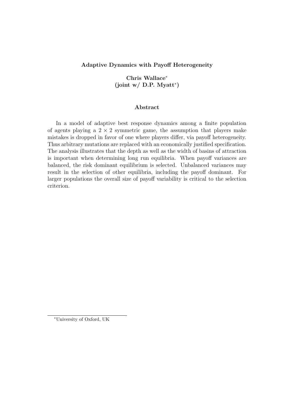# Adaptive Dynamics with Payoff Heterogeneity

Chris Wallace<sup>∗</sup>  $(joint w / D.P. Myatt^*)$ 

### Abstract

In a model of adaptive best response dynamics among a finite population of agents playing a  $2 \times 2$  symmetric game, the assumption that players make mistakes is dropped in favor of one where players differ, via payoff heterogeneity. Thus arbitrary mutations are replaced with an economically justified specification. The analysis illustrates that the depth as well as the width of basins of attraction is important when determining long run equilibria. When payoff variances are balanced, the risk dominant equilibrium is selected. Unbalanced variances may result in the selection of other equilibria, including the payoff dominant. For larger populations the overall size of payoff variability is critical to the selection criterion.

<sup>∗</sup>University of Oxford, UK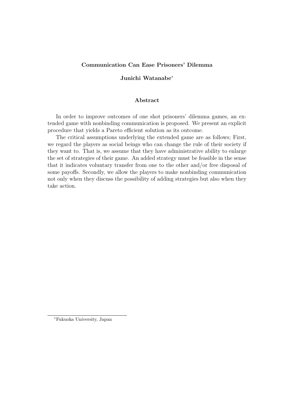### Communication Can Ease Prisoners' Dilemma

### Junichi Watanabe<sup>∗</sup>

#### Abstract

In order to improve outcomes of one shot prisoners' dilemma games, an extended game with nonbinding communication is proposed. We present an explicit procedure that yields a Pareto efficient solution as its outcome.

The critical assumptions underlying the extended game are as follows; First, we regard the players as social beings who can change the rule of their society if they want to. That is, we assume that they have administrative ability to enlarge the set of strategies of their game. An added strategy must be feasible in the sense that it indicates voluntary transfer from one to the other and/or free disposal of some payoffs. Secondly, we allow the players to make nonbinding communication not only when they discuss the possibility of adding strategies but also when they take action.

<sup>∗</sup>Fukuoka University, Japan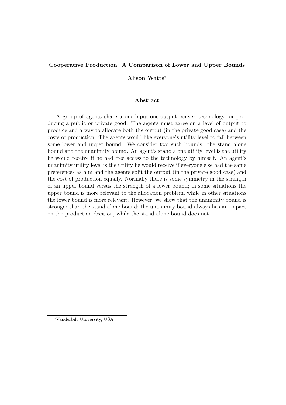# Cooperative Production: A Comparison of Lower and Upper Bounds

Alison Watts<sup>∗</sup>

### Abstract

A group of agents share a one-input-one-output convex technology for producing a public or private good. The agents must agree on a level of output to produce and a way to allocate both the output (in the private good case) and the costs of production. The agents would like everyone's utility level to fall between some lower and upper bound. We consider two such bounds: the stand alone bound and the unanimity bound. An agent's stand alone utility level is the utility he would receive if he had free access to the technology by himself. An agent's unanimity utility level is the utility he would receive if everyone else had the same preferences as him and the agents split the output (in the private good case) and the cost of production equally. Normally there is some symmetry in the strength of an upper bound versus the strength of a lower bound; in some situations the upper bound is more relevant to the allocation problem, while in other situations the lower bound is more relevant. However, we show that the unanimity bound is stronger than the stand alone bound; the unanimity bound always has an impact on the production decision, while the stand alone bound does not.

<sup>∗</sup>Vanderbilt University, USA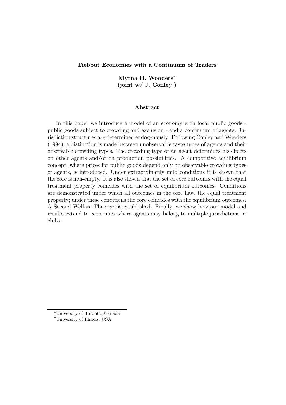### Tiebout Economies with a Continuum of Traders

Myrna H. Wooders<sup>∗</sup> (joint w/ J. Conley† )

#### Abstract

In this paper we introduce a model of an economy with local public goods public goods subject to crowding and exclusion - and a continuum of agents. Jurisdiction structures are determined endogenously. Following Conley and Wooders (1994), a distinction is made between unobservable taste types of agents and their observable crowding types. The crowding type of an agent determines his effects on other agents and/or on production possibilities. A competitive equilibrium concept, where prices for public goods depend only on observable crowding types of agents, is introduced. Under extraordinarily mild conditions it is shown that the core is non-empty. It is also shown that the set of core outcomes with the equal treatment property coincides with the set of equilibrium outcomes. Conditions are demonstrated under which all outcomes in the core have the equal treatment property; under these conditions the core coincides with the equilibrium outcomes. A Second Welfare Theorem is established. Finally, we show how our model and results extend to economies where agents may belong to multiple jurisdictions or clubs.

<sup>∗</sup>University of Toronto, Canada †University of Illinois, USA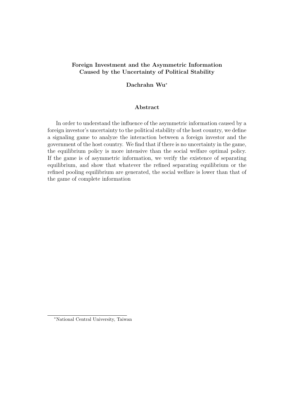# Foreign Investment and the Asymmetric Information Caused by the Uncertainty of Political Stability

### Dachrahn Wu<sup>∗</sup>

### Abstract

In order to understand the influence of the asymmetric information caused by a foreign investor's uncertainty to the political stability of the host country, we define a signaling game to analyze the interaction between a foreign investor and the government of the host country. We find that if there is no uncertainty in the game, the equilibrium policy is more intensive than the social welfare optimal policy. If the game is of asymmetric information, we verify the existence of separating equilibrium, and show that whatever the refined separating equilibrium or the refined pooling equilibrium are generated, the social welfare is lower than that of the game of complete information

<sup>∗</sup>National Central University, Taiwan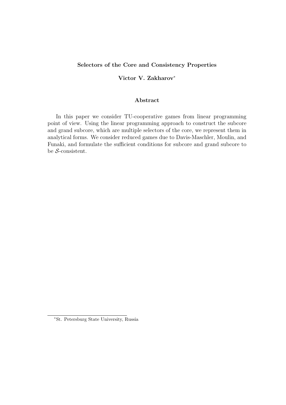### Selectors of the Core and Consistency Properties

# Victor V. Zakharov<sup>∗</sup>

#### Abstract

In this paper we consider TU-cooperative games from linear programming point of view. Using the linear programming approach to construct the subcore and grand subcore, which are multiple selectors of the core, we represent them in analytical forms. We consider reduced games due to Davis-Maschler, Moulin, and Funaki, and formulate the sufficient conditions for subcore and grand subcore to be S-consistent.

<sup>∗</sup>St. Petersburg State University, Russia